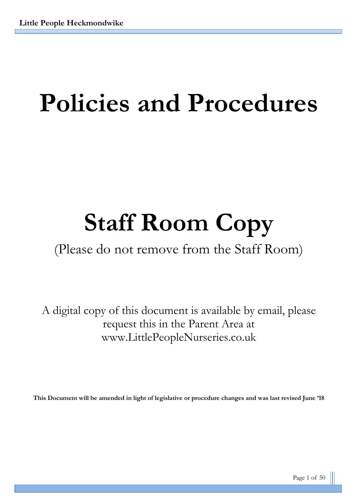# **Policies and Procedures**

# **Staff Room Copy**

# (Please do not remove from the Staff Room)

A digital copy of this document is available by email, please request this in the Parent Area at www.LittlePeopleNurseries.co.uk

**This Document will be amended in light of legislative or procedure changes and was last revised June '18**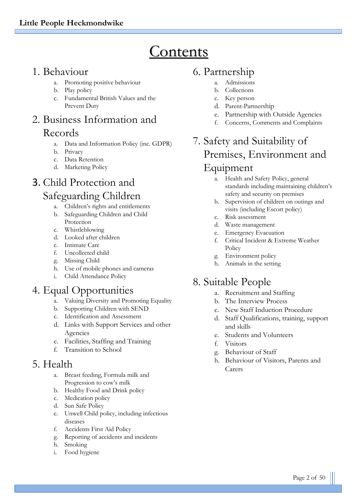# **Contents**

# 1. Behaviour

- a. Promoting positive behaviour
- b. Play policy
- c. Fundamental British Values and the Prevent Duty

# 2. Business Information and Records

- a. Data and Information Policy (inc. GDPR)
- b. Privacy
- c. Data Retention
- d. Marketing Policy

# 3. Child Protection and Safeguarding Children

- a. Children's rights and entitlements
- b. Safeguarding Children and Child Protection
- c. Whistleblowing
- d. Looked after children
- e. Intimate Care
- f. Uncollected child
- g. Missing Child
- h. Use of mobile phones and cameras
- i. Child Attendance Policy

# 4. Equal Opportunities

- a. Valuing Diversity and Promoting Equality
- b. Supporting Children with SEND
- c. Identification and Assessment
- d. Links with Support Services and other Agencies
- e. Facilities, Staffing and Training
- f. Transition to School

# 5. Health

- a. Breast feeding, Formula milk and Progression to cow's milk
- b. Healthy Food and Drink policy
- c. Medication policy
- d. Sun Safe Policy
- e. Unwell Child policy, including infectious diseases
- f. Accidents First Aid Policy
- g. Reporting of accidents and incidents
- h. Smoking
- i. Food hygiene

# 6. Partnership

- a. Admissions
- b. Collections
- c. Key person
- d. Parent-Partnership
- e. Partnership with Outside Agencies
- f. Concerns, Comments and Complaints

# 7. Safety and Suitability of Premises, Environment and Equipment

- a. Health and Safety Policy, general standards including maintaining children's safety and security on premises
- b. Supervision of children on outings and visits (including Escort policy)
- c. Risk assessment
- d. Waste management
- e. Emergency Evacuation
- f. Critical Incident & Extreme Weather Policy
- g. Environment policy
- h. Animals in the setting

# 8. Suitable People

- a. Recruitment and Staffing
- b. The Interview Process
- c. New Staff Induction Procedure
- d. Staff Qualifications, training, support and skills
- e. Students and Volunteers
- f. Visitors
- g. Behaviour of Staff
- h. Behaviour of Visitors, Parents and Carers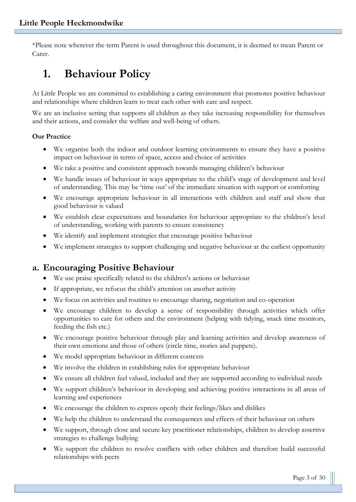\*Please note wherever the term Parent is used throughout this document, it is deemed to mean Parent or Carer.

# **1. Behaviour Policy**

At Little People we are committed to establishing a caring environment that promotes positive behaviour and relationships where children learn to treat each other with care and respect.

We are an inclusive setting that supports all children as they take increasing responsibility for themselves and their actions, and consider the welfare and well-being of others.

#### **Our Practice**

- We organise both the indoor and outdoor learning environments to ensure they have a positive impact on behaviour in terms of space, access and choice of activities
- We take a positive and consistent approach towards managing children's behaviour
- We handle issues of behaviour in ways appropriate to the child's stage of development and level of understanding. This may be 'time out' of the immediate situation with support or comforting
- We encourage appropriate behaviour in all interactions with children and staff and show that good behaviour is valued
- We establish clear expectations and boundaries for behaviour appropriate to the children's level of understanding, working with parents to ensure consistency
- We identify and implement strategies that encourage positive behaviour
- We implement strategies to support challenging and negative behaviour at the earliest opportunity

## **a. Encouraging Positive Behaviour**

- We use praise specifically related to the children's actions or behaviour
- If appropriate, we refocus the child's attention on another activity
- We focus on activities and routines to encourage sharing, negotiation and co-operation
- We encourage children to develop a sense of responsibility through activities which offer opportunities to care for others and the environment (helping with tidying, snack time monitors, feeding the fish etc.)
- We encourage positive behaviour through play and learning activities and develop awareness of their own emotions and those of others (circle time, stories and puppets).
- We model appropriate behaviour in different contexts
- We involve the children in establishing rules for appropriate behaviour
- We ensure all children feel valued, included and they are supported according to individual needs
- We support children's behaviour in developing and achieving positive interactions in all areas of learning and experiences
- We encourage the children to express openly their feelings/likes and dislikes
- We help the children to understand the consequences and effects of their behaviour on others
- We support, through close and secure key practitioner relationships, children to develop assertive strategies to challenge bullying
- We support the children to resolve conflicts with other children and therefore build successful relationships with peers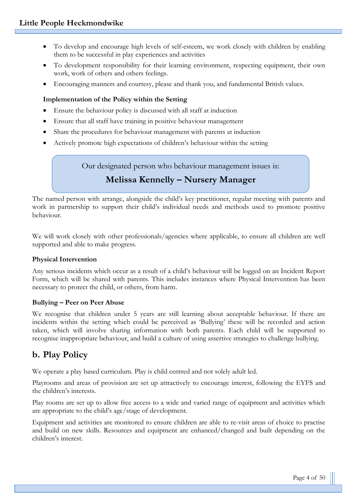- To develop and encourage high levels of self-esteem, we work closely with children by enabling them to be successful in play experiences and activities
- To development responsibility for their learning environment, respecting equipment, their own work, work of others and others feelings.
- Encouraging manners and courtesy, please and thank you, and fundamental British values.

#### **Implementation of the Policy within the Setting**

- Ensure the behaviour policy is discussed with all staff at induction
- Ensure that all staff have training in positive behaviour management
- Share the procedures for behaviour management with parents at induction
- Actively promote high expectations of children's behaviour within the setting

Our designated person who behaviour management issues is:

# **Melissa Kennelly – Nursery Manager**

The named person with arrange, alongside the child's key practitioner, regular meeting with parents and work in partnership to support their child's individual needs and methods used to promote positive behaviour.

We will work closely with other professionals/agencies where applicable, to ensure all children are well supported and able to make progress.

#### **Physical Intervention**

Any serious incidents which occur as a result of a child's behaviour will be logged on an Incident Report Form, which will be shared with parents. This includes instances where Physical Intervention has been necessary to protect the child, or others, from harm.

#### **Bullying – Peer on Peer Abuse**

We recognise that children under 5 years are still learning about acceptable behaviour. If there are incidents within the setting which could be perceived as 'Bullying' these will be recorded and action taken, which will involve sharing information with both parents. Each child will be supported to recognise inappropriate behaviour, and build a culture of using assertive strategies to challenge bullying.

# **b. Play Policy**

We operate a play based curriculum. Play is child centred and not solely adult led.

Playrooms and areas of provision are set up attractively to encourage interest, following the EYFS and the children's interests.

Play rooms are set up to allow free access to a wide and varied range of equipment and activities which are appropriate to the child's age/stage of development.

Equipment and activities are monitored to ensure children are able to re-visit areas of choice to practise and build on new skills. Resources and equipment are enhanced/changed and built depending on the children's interest.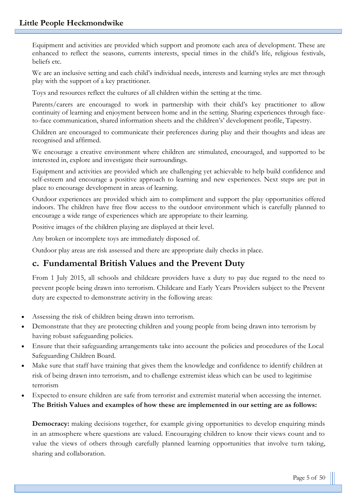Equipment and activities are provided which support and promote each area of development. These are enhanced to reflect the seasons, currents interests, special times in the child's life, religious festivals, beliefs etc.

We are an inclusive setting and each child's individual needs, interests and learning styles are met through play with the support of a key practitioner.

Toys and resources reflect the cultures of all children within the setting at the time.

Parents/carers are encouraged to work in partnership with their child's key practitioner to allow continuity of learning and enjoyment between home and in the setting. Sharing experiences through faceto-face communication, shared information sheets and the children's' development profile, Tapestry.

Children are encouraged to communicate their preferences during play and their thoughts and ideas are recognised and affirmed.

We encourage a creative environment where children are stimulated, encouraged, and supported to be interested in, explore and investigate their surroundings.

Equipment and activities are provided which are challenging yet achievable to help build confidence and self-esteem and encourage a positive approach to learning and new experiences. Next steps are put in place to encourage development in areas of learning.

Outdoor experiences are provided which aim to compliment and support the play opportunities offered indoors. The children have free flow access to the outdoor environment which is carefully planned to encourage a wide range of experiences which are appropriate to their learning.

Positive images of the children playing are displayed at their level.

Any broken or incomplete toys are immediately disposed of.

Outdoor play areas are risk assessed and there are appropriate daily checks in place.

# **c. Fundamental British Values and the Prevent Duty**

From 1 July 2015, all schools and childcare providers have a duty to pay due regard to the need to prevent people being drawn into terrorism. Childcare and Early Years Providers subject to the Prevent duty are expected to demonstrate activity in the following areas:

- Assessing the risk of children being drawn into terrorism.
- Demonstrate that they are protecting children and young people from being drawn into terrorism by having robust safeguarding policies.
- Ensure that their safeguarding arrangements take into account the policies and procedures of the Local Safeguarding Children Board.
- Make sure that staff have training that gives them the knowledge and confidence to identify children at risk of being drawn into terrorism, and to challenge extremist ideas which can be used to legitimise terrorism
- Expected to ensure children are safe from terrorist and extremist material when accessing the internet. **The British Values and examples of how these are implemented in our setting are as follows:**

**Democracy:** making decisions together, for example giving opportunities to develop enquiring minds in an atmosphere where questions are valued. Encouraging children to know their views count and to value the views of others through carefully planned learning opportunities that involve turn taking, sharing and collaboration.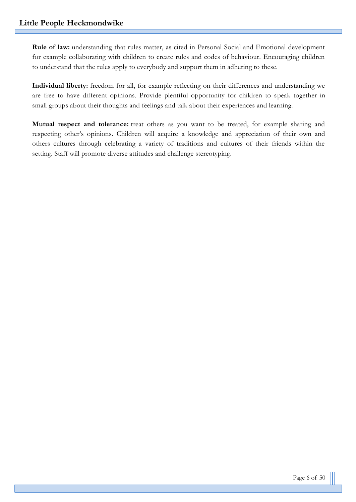**Rule of law:** understanding that rules matter, as cited in Personal Social and Emotional development for example collaborating with children to create rules and codes of behaviour. Encouraging children to understand that the rules apply to everybody and support them in adhering to these.

**Individual liberty:** freedom for all, for example reflecting on their differences and understanding we are free to have different opinions. Provide plentiful opportunity for children to speak together in small groups about their thoughts and feelings and talk about their experiences and learning.

**Mutual respect and tolerance:** treat others as you want to be treated, for example sharing and respecting other's opinions. Children will acquire a knowledge and appreciation of their own and others cultures through celebrating a variety of traditions and cultures of their friends within the setting. Staff will promote diverse attitudes and challenge stereotyping.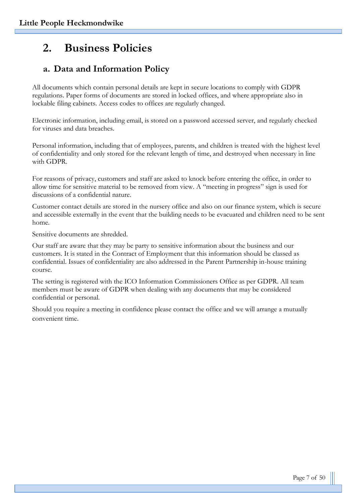# **2. Business Policies**

# **a. Data and Information Policy**

All documents which contain personal details are kept in secure locations to comply with GDPR regulations. Paper forms of documents are stored in locked offices, and where appropriate also in lockable filing cabinets. Access codes to offices are regularly changed.

Electronic information, including email, is stored on a password accessed server, and regularly checked for viruses and data breaches.

Personal information, including that of employees, parents, and children is treated with the highest level of confidentiality and only stored for the relevant length of time, and destroyed when necessary in line with GDPR.

For reasons of privacy, customers and staff are asked to knock before entering the office, in order to allow time for sensitive material to be removed from view. A "meeting in progress" sign is used for discussions of a confidential nature.

Customer contact details are stored in the nursery office and also on our finance system, which is secure and accessible externally in the event that the building needs to be evacuated and children need to be sent home.

Sensitive documents are shredded.

Our staff are aware that they may be party to sensitive information about the business and our customers. It is stated in the Contract of Employment that this information should be classed as confidential. Issues of confidentiality are also addressed in the Parent Partnership in-house training course.

The setting is registered with the ICO Information Commissioners Office as per GDPR. All team members must be aware of GDPR when dealing with any documents that may be considered confidential or personal.

Should you require a meeting in confidence please contact the office and we will arrange a mutually convenient time.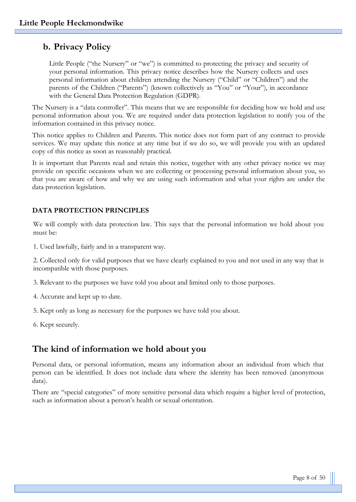# **b. Privacy Policy**

Little People ("the Nursery" or "we") is committed to protecting the privacy and security of your personal information. This privacy notice describes how the Nursery collects and uses personal information about children attending the Nursery ("Child" or "Children") and the parents of the Children ("Parents") (known collectively as "You" or "Your"), in accordance with the General Data Protection Regulation (GDPR).

The Nursery is a "data controller". This means that we are responsible for deciding how we hold and use personal information about you. We are required under data protection legislation to notify you of the information contained in this privacy notice.

This notice applies to Children and Parents. This notice does not form part of any contract to provide services. We may update this notice at any time but if we do so, we will provide you with an updated copy of this notice as soon as reasonably practical.

It is important that Parents read and retain this notice, together with any other privacy notice we may provide on specific occasions when we are collecting or processing personal information about you, so that you are aware of how and why we are using such information and what your rights are under the data protection legislation.

#### **DATA PROTECTION PRINCIPLES**

We will comply with data protection law. This says that the personal information we hold about you must be:

1. Used lawfully, fairly and in a transparent way.

2. Collected only for valid purposes that we have clearly explained to you and not used in any way that is incompatible with those purposes.

3. Relevant to the purposes we have told you about and limited only to those purposes.

- 4. Accurate and kept up to date.
- 5. Kept only as long as necessary for the purposes we have told you about.
- 6. Kept securely.

# **The kind of information we hold about you**

Personal data, or personal information, means any information about an individual from which that person can be identified. It does not include data where the identity has been removed (anonymous data).

There are "special categories" of more sensitive personal data which require a higher level of protection, such as information about a person's health or sexual orientation.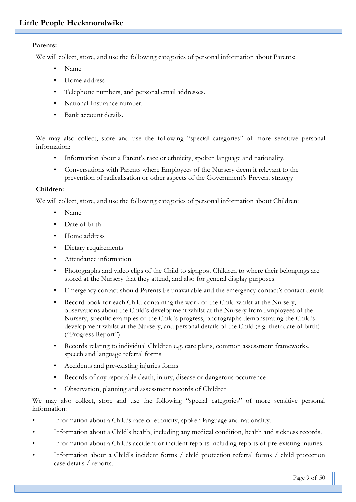#### **Parents:**

We will collect, store, and use the following categories of personal information about Parents:

- Name
- Home address
- Telephone numbers, and personal email addresses.
- National Insurance number.
- Bank account details.

We may also collect, store and use the following "special categories" of more sensitive personal information:

- Information about a Parent's race or ethnicity, spoken language and nationality.
- Conversations with Parents where Employees of the Nursery deem it relevant to the prevention of radicalisation or other aspects of the Government's Prevent strategy

#### **Children:**

We will collect, store, and use the following categories of personal information about Children:

- Name
- Date of birth
- Home address
- Dietary requirements
- Attendance information
- Photographs and video clips of the Child to signpost Children to where their belongings are stored at the Nursery that they attend, and also for general display purposes
- Emergency contact should Parents be unavailable and the emergency contact's contact details
- Record book for each Child containing the work of the Child whilst at the Nursery, observations about the Child's development whilst at the Nursery from Employees of the Nursery, specific examples of the Child's progress, photographs demonstrating the Child's development whilst at the Nursery, and personal details of the Child (e.g. their date of birth) ("Progress Report")
- Records relating to individual Children e.g. care plans, common assessment frameworks, speech and language referral forms
- Accidents and pre-existing injuries forms
- Records of any reportable death, injury, disease or dangerous occurrence
- Observation, planning and assessment records of Children

We may also collect, store and use the following "special categories" of more sensitive personal information:

- Information about a Child's race or ethnicity, spoken language and nationality.
- Information about a Child's health, including any medical condition, health and sickness records.
- Information about a Child's accident or incident reports including reports of pre-existing injuries.
- Information about a Child's incident forms / child protection referral forms / child protection case details / reports.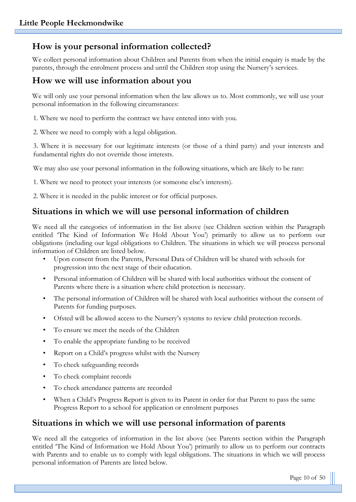# **How is your personal information collected?**

We collect personal information about Children and Parents from when the initial enquiry is made by the parents, through the enrolment process and until the Children stop using the Nursery's services.

## **How we will use information about you**

We will only use your personal information when the law allows us to. Most commonly, we will use your personal information in the following circumstances:

1. Where we need to perform the contract we have entered into with you.

2. Where we need to comply with a legal obligation.

3. Where it is necessary for our legitimate interests (or those of a third party) and your interests and fundamental rights do not override those interests.

We may also use your personal information in the following situations, which are likely to be rare:

1. Where we need to protect your interests (or someone else's interests).

2. Where it is needed in the public interest or for official purposes.

# **Situations in which we will use personal information of children**

We need all the categories of information in the list above (see Children section within the Paragraph entitled 'The Kind of Information We Hold About You') primarily to allow us to perform our obligations (including our legal obligations to Children. The situations in which we will process personal information of Children are listed below.

- Upon consent from the Parents, Personal Data of Children will be shared with schools for progression into the next stage of their education.
- Personal information of Children will be shared with local authorities without the consent of Parents where there is a situation where child protection is necessary.
- The personal information of Children will be shared with local authorities without the consent of Parents for funding purposes.
- Ofsted will be allowed access to the Nursery's systems to review child protection records.
- To ensure we meet the needs of the Children
- To enable the appropriate funding to be received
- Report on a Child's progress whilst with the Nursery
- To check safeguarding records
- To check complaint records
- To check attendance patterns are recorded
- When a Child's Progress Report is given to its Parent in order for that Parent to pass the same Progress Report to a school for application or enrolment purposes

## **Situations in which we will use personal information of parents**

We need all the categories of information in the list above (see Parents section within the Paragraph entitled 'The Kind of Information we Hold About You') primarily to allow us to perform our contracts with Parents and to enable us to comply with legal obligations. The situations in which we will process personal information of Parents are listed below.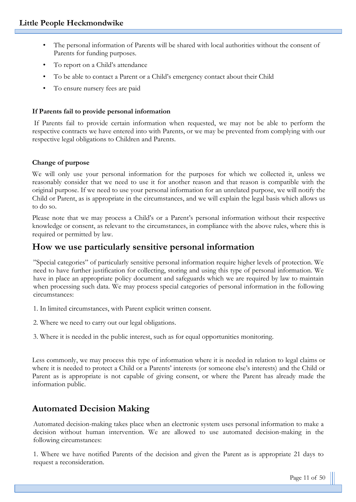- The personal information of Parents will be shared with local authorities without the consent of Parents for funding purposes.
- To report on a Child's attendance
- To be able to contact a Parent or a Child's emergency contact about their Child
- To ensure nursery fees are paid

#### **If Parents fail to provide personal information**

If Parents fail to provide certain information when requested, we may not be able to perform the respective contracts we have entered into with Parents, or we may be prevented from complying with our respective legal obligations to Children and Parents.

#### **Change of purpose**

We will only use your personal information for the purposes for which we collected it, unless we reasonably consider that we need to use it for another reason and that reason is compatible with the original purpose. If we need to use your personal information for an unrelated purpose, we will notify the Child or Parent, as is appropriate in the circumstances, and we will explain the legal basis which allows us to do so.

Please note that we may process a Child's or a Parent's personal information without their respective knowledge or consent, as relevant to the circumstances, in compliance with the above rules, where this is required or permitted by law.

## **How we use particularly sensitive personal information**

"Special categories" of particularly sensitive personal information require higher levels of protection. We need to have further justification for collecting, storing and using this type of personal information. We have in place an appropriate policy document and safeguards which we are required by law to maintain when processing such data. We may process special categories of personal information in the following circumstances:

- 1. In limited circumstances, with Parent explicit written consent.
- 2. Where we need to carry out our legal obligations.

3. Where it is needed in the public interest, such as for equal opportunities monitoring.

Less commonly, we may process this type of information where it is needed in relation to legal claims or where it is needed to protect a Child or a Parents' interests (or someone else's interests) and the Child or Parent as is appropriate is not capable of giving consent, or where the Parent has already made the information public.

# **Automated Decision Making**

Automated decision-making takes place when an electronic system uses personal information to make a decision without human intervention. We are allowed to use automated decision-making in the following circumstances:

1. Where we have notified Parents of the decision and given the Parent as is appropriate 21 days to request a reconsideration.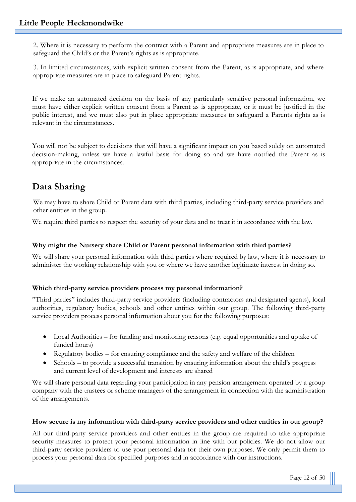2. Where it is necessary to perform the contract with a Parent and appropriate measures are in place to safeguard the Child's or the Parent's rights as is appropriate.

3. In limited circumstances, with explicit written consent from the Parent, as is appropriate, and where appropriate measures are in place to safeguard Parent rights.

If we make an automated decision on the basis of any particularly sensitive personal information, we must have either explicit written consent from a Parent as is appropriate, or it must be justified in the public interest, and we must also put in place appropriate measures to safeguard a Parents rights as is relevant in the circumstances.

You will not be subject to decisions that will have a significant impact on you based solely on automated decision-making, unless we have a lawful basis for doing so and we have notified the Parent as is appropriate in the circumstances.

# **Data Sharing**

We may have to share Child or Parent data with third parties, including third-party service providers and other entities in the group.

We require third parties to respect the security of your data and to treat it in accordance with the law.

#### **Why might the Nursery share Child or Parent personal information with third parties?**

We will share your personal information with third parties where required by law, where it is necessary to administer the working relationship with you or where we have another legitimate interest in doing so.

#### **Which third-party service providers process my personal information?**

"Third parties" includes third-party service providers (including contractors and designated agents), local authorities, regulatory bodies, schools and other entities within our group. The following third-party service providers process personal information about you for the following purposes:

- Local Authorities for funding and monitoring reasons (e.g. equal opportunities and uptake of funded hours)
- Regulatory bodies for ensuring compliance and the safety and welfare of the children
- Schools to provide a successful transition by ensuring information about the child's progress and current level of development and interests are shared

We will share personal data regarding your participation in any pension arrangement operated by a group company with the trustees or scheme managers of the arrangement in connection with the administration of the arrangements.

#### **How secure is my information with third-party service providers and other entities in our group?**

All our third-party service providers and other entities in the group are required to take appropriate security measures to protect your personal information in line with our policies. We do not allow our third-party service providers to use your personal data for their own purposes. We only permit them to process your personal data for specified purposes and in accordance with our instructions.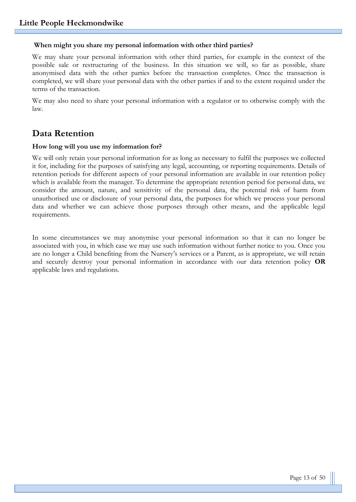#### **When might you share my personal information with other third parties?**

We may share your personal information with other third parties, for example in the context of the possible sale or restructuring of the business. In this situation we will, so far as possible, share anonymised data with the other parties before the transaction completes. Once the transaction is completed, we will share your personal data with the other parties if and to the extent required under the terms of the transaction.

We may also need to share your personal information with a regulator or to otherwise comply with the law.

# **Data Retention**

#### **How long will you use my information for?**

We will only retain your personal information for as long as necessary to fulfil the purposes we collected it for, including for the purposes of satisfying any legal, accounting, or reporting requirements. Details of retention periods for different aspects of your personal information are available in our retention policy which is available from the manager. To determine the appropriate retention period for personal data, we consider the amount, nature, and sensitivity of the personal data, the potential risk of harm from unauthorised use or disclosure of your personal data, the purposes for which we process your personal data and whether we can achieve those purposes through other means, and the applicable legal requirements.

In some circumstances we may anonymise your personal information so that it can no longer be associated with you, in which case we may use such information without further notice to you. Once you are no longer a Child benefiting from the Nursery's services or a Parent, as is appropriate, we will retain and securely destroy your personal information in accordance with our data retention policy **OR** applicable laws and regulations.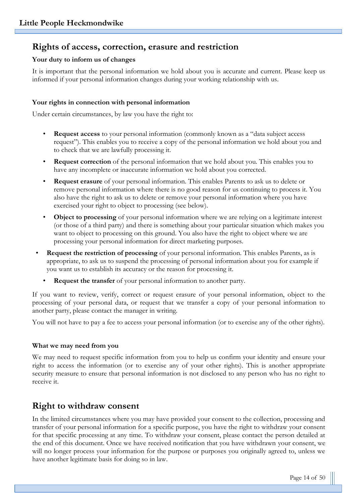# **Rights of access, correction, erasure and restriction**

#### **Your duty to inform us of changes**

It is important that the personal information we hold about you is accurate and current. Please keep us informed if your personal information changes during your working relationship with us.

#### **Your rights in connection with personal information**

Under certain circumstances, by law you have the right to:

- **Request access** to your personal information (commonly known as a "data subject access request"). This enables you to receive a copy of the personal information we hold about you and to check that we are lawfully processing it.
- **Request correction** of the personal information that we hold about you. This enables you to have any incomplete or inaccurate information we hold about you corrected.
- **Request erasure** of your personal information. This enables Parents to ask us to delete or remove personal information where there is no good reason for us continuing to process it. You also have the right to ask us to delete or remove your personal information where you have exercised your right to object to processing (see below).
- **Object to processing** of your personal information where we are relying on a legitimate interest (or those of a third party) and there is something about your particular situation which makes you want to object to processing on this ground. You also have the right to object where we are processing your personal information for direct marketing purposes.
- **Request the restriction of processing** of your personal information. This enables Parents, as is appropriate, to ask us to suspend the processing of personal information about you for example if you want us to establish its accuracy or the reason for processing it.
	- **Request the transfer** of your personal information to another party.

If you want to review, verify, correct or request erasure of your personal information, object to the processing of your personal data, or request that we transfer a copy of your personal information to another party, please contact the manager in writing.

You will not have to pay a fee to access your personal information (or to exercise any of the other rights).

#### **What we may need from you**

We may need to request specific information from you to help us confirm your identity and ensure your right to access the information (or to exercise any of your other rights). This is another appropriate security measure to ensure that personal information is not disclosed to any person who has no right to receive it.

## **Right to withdraw consent**

In the limited circumstances where you may have provided your consent to the collection, processing and transfer of your personal information for a specific purpose, you have the right to withdraw your consent for that specific processing at any time. To withdraw your consent, please contact the person detailed at the end of this document. Once we have received notification that you have withdrawn your consent, we will no longer process your information for the purpose or purposes you originally agreed to, unless we have another legitimate basis for doing so in law.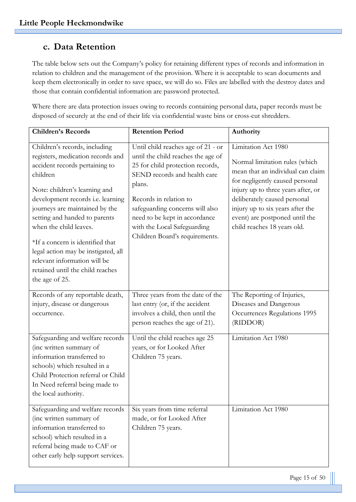# **c. Data Retention**

The table below sets out the Company's policy for retaining different types of records and information in relation to children and the management of the provision. Where it is acceptable to scan documents and keep them electronically in order to save space, we will do so. Files are labelled with the destroy dates and those that contain confidential information are password protected.

Where there are data protection issues owing to records containing personal data, paper records must be disposed of securely at the end of their life via confidential waste bins or cross-cut shredders.

| <b>Children's Records</b>                                                                                                                                                                                                                                                                                                                                                                                                                            | <b>Retention Period</b>                                                                                                                                                                                                                                                                                               | Authority                                                                                                                                                                                                                                                                                                |
|------------------------------------------------------------------------------------------------------------------------------------------------------------------------------------------------------------------------------------------------------------------------------------------------------------------------------------------------------------------------------------------------------------------------------------------------------|-----------------------------------------------------------------------------------------------------------------------------------------------------------------------------------------------------------------------------------------------------------------------------------------------------------------------|----------------------------------------------------------------------------------------------------------------------------------------------------------------------------------------------------------------------------------------------------------------------------------------------------------|
| Children's records, including<br>registers, medication records and<br>accident records pertaining to<br>children<br>Note: children's learning and<br>development records i.e. learning<br>journeys are maintained by the<br>setting and handed to parents<br>when the child leaves.<br>*If a concern is identified that<br>legal action may be instigated, all<br>relevant information will be<br>retained until the child reaches<br>the age of 25. | Until child reaches age of 21 - or<br>until the child reaches the age of<br>25 for child protection records,<br>SEND records and health care<br>plans.<br>Records in relation to<br>safeguarding concerns will also<br>need to be kept in accordance<br>with the Local Safeguarding<br>Children Board's requirements. | Limitation Act 1980<br>Normal limitation rules (which<br>mean that an individual can claim<br>for negligently caused personal<br>injury up to three years after, or<br>deliberately caused personal<br>injury up to six years after the<br>event) are postponed until the<br>child reaches 18 years old. |
| Records of any reportable death,<br>injury, disease or dangerous<br>occurrence.                                                                                                                                                                                                                                                                                                                                                                      | Three years from the date of the<br>last entry (or, if the accident<br>involves a child, then until the<br>person reaches the age of 21).                                                                                                                                                                             | The Reporting of Injuries,<br>Diseases and Dangerous<br>Occurrences Regulations 1995<br>(RIDDOR)                                                                                                                                                                                                         |
| Safeguarding and welfare records<br>(inc written summary of<br>information transferred to<br>schools) which resulted in a<br>Child Protection referral or Child<br>In Need referral being made to<br>the local authority.                                                                                                                                                                                                                            | Until the child reaches age 25<br>years, or for Looked After<br>Children 75 years.                                                                                                                                                                                                                                    | Limitation Act 1980                                                                                                                                                                                                                                                                                      |
| Safeguarding and welfare records<br>(inc written summary of<br>information transferred to<br>school) which resulted in a<br>referral being made to CAF or<br>other early help support services.                                                                                                                                                                                                                                                      | Six years from time referral<br>made, or for Looked After<br>Children 75 years.                                                                                                                                                                                                                                       | Limitation Act 1980                                                                                                                                                                                                                                                                                      |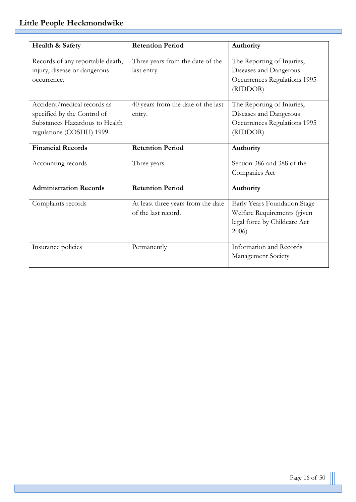г

| Health & Safety                  | <b>Retention Period</b>            | Authority                    |
|----------------------------------|------------------------------------|------------------------------|
| Records of any reportable death, | Three years from the date of the   | The Reporting of Injuries,   |
| injury, disease or dangerous     | last entry.                        | Diseases and Dangerous       |
| occurrence.                      |                                    | Occurrences Regulations 1995 |
|                                  |                                    | (RIDDOR)                     |
| Accident/medical records as      | 40 years from the date of the last | The Reporting of Injuries,   |
| specified by the Control of      | entry.                             | Diseases and Dangerous       |
| Substances Hazardous to Health   |                                    | Occurrences Regulations 1995 |
| regulations (COSHH) 1999         |                                    | (RIDDOR)                     |
|                                  |                                    |                              |
| <b>Financial Records</b>         | <b>Retention Period</b>            | Authority                    |
| Accounting records               | Three years                        | Section 386 and 388 of the   |
|                                  |                                    | Companies Act                |
| <b>Administration Records</b>    | <b>Retention Period</b>            | Authority                    |
| Complaints records               | At least three years from the date | Early Years Foundation Stage |
|                                  | of the last record.                | Welfare Requirements (given  |
|                                  |                                    | legal force by Childcare Act |
|                                  |                                    | 2006)                        |
| Insurance policies               | Permanently                        | Information and Records      |
|                                  |                                    | Management Society           |
|                                  |                                    |                              |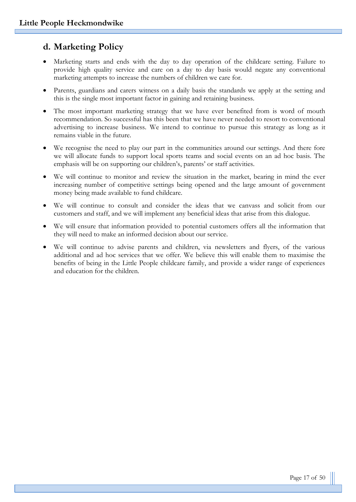# **d. Marketing Policy**

- Marketing starts and ends with the day to day operation of the childcare setting. Failure to provide high quality service and care on a day to day basis would negate any conventional marketing attempts to increase the numbers of children we care for.
- Parents, guardians and carers witness on a daily basis the standards we apply at the setting and this is the single most important factor in gaining and retaining business.
- The most important marketing strategy that we have ever benefited from is word of mouth recommendation. So successful has this been that we have never needed to resort to conventional advertising to increase business. We intend to continue to pursue this strategy as long as it remains viable in the future.
- We recognise the need to play our part in the communities around our settings. And there fore we will allocate funds to support local sports teams and social events on an ad hoc basis. The emphasis will be on supporting our children's, parents' or staff activities.
- We will continue to monitor and review the situation in the market, bearing in mind the ever increasing number of competitive settings being opened and the large amount of government money being made available to fund childcare.
- We will continue to consult and consider the ideas that we canvass and solicit from our customers and staff, and we will implement any beneficial ideas that arise from this dialogue.
- We will ensure that information provided to potential customers offers all the information that they will need to make an informed decision about our service.
- We will continue to advise parents and children, via newsletters and flyers, of the various additional and ad hoc services that we offer. We believe this will enable them to maximise the benefits of being in the Little People childcare family, and provide a wider range of experiences and education for the children.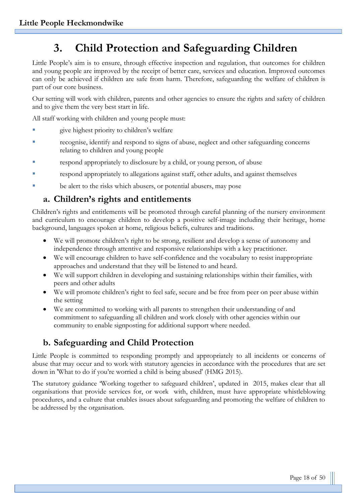# **3. Child Protection and Safeguarding Children**

Little People's aim is to ensure, through effective inspection and regulation, that outcomes for children and young people are improved by the receipt of better care, services and education. Improved outcomes can only be achieved if children are safe from harm. Therefore, safeguarding the welfare of children is part of our core business.

Our setting will work with children, parents and other agencies to ensure the rights and safety of children and to give them the very best start in life.

All staff working with children and young people must:

- give highest priority to children's welfare
- recognise, identify and respond to signs of abuse, neglect and other safeguarding concerns relating to children and young people
- respond appropriately to disclosure by a child, or young person, of abuse
- respond appropriately to allegations against staff, other adults, and against themselves
- be alert to the risks which abusers, or potential abusers, may pose

## **a. Children's rights and entitlements**

Children's rights and entitlements will be promoted through careful planning of the nursery environment and curriculum to encourage children to develop a positive self-image including their heritage, home background, languages spoken at home, religious beliefs, cultures and traditions.

- We will promote children's right to be strong, resilient and develop a sense of autonomy and independence through attentive and responsive relationships with a key practitioner.
- We will encourage children to have self-confidence and the vocabulary to resist inappropriate approaches and understand that they will be listened to and heard.
- We will support children in developing and sustaining relationships within their families, with peers and other adults
- We will promote children's right to feel safe, secure and be free from peer on peer abuse within the setting
- We are committed to working with all parents to strengthen their understanding of and commitment to safeguarding all children and work closely with other agencies within our community to enable signposting for additional support where needed.

# **b. Safeguarding and Child Protection**

Little People is committed to responding promptly and appropriately to all incidents or concerns of abuse that may occur and to work with statutory agencies in accordance with the procedures that are set down in 'What to do if you're worried a child is being abused' (HMG 2015).

The statutory guidance 'Working together to safeguard children', updated in 2015, makes clear that all organisations that provide services for, or work with, children, must have appropriate whistleblowing procedures, and a culture that enables issues about safeguarding and promoting the welfare of children to be addressed by the organisation.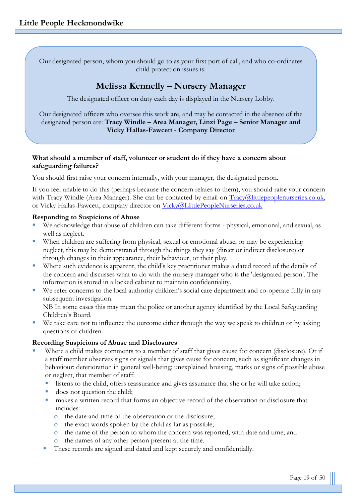Our designated person, whom you should go to as your first port of call, and who co-ordinates child protection issues is:

# **Melissa Kennelly – Nursery Manager**

The designated officer on duty each day is displayed in the Nursery Lobby.

Our designated officers who oversee this work are, and may be contacted in the absence of the designated person are: **Tracy Windle – Area Manager, Linzi Page – Senior Manager and Vicky Hallas-Fawcett - Company Director**

#### **What should a member of staff, volunteer or student do if they have a concern about safeguarding failures?**

You should first raise your concern internally, with your manager, the designated person.

If you feel unable to do this (perhaps because the concern relates to them), you should raise your concern with Tracy Windle (Area Manager). She can be contacted by email on [Tracy@littlepeoplenurseries.co.uk,](mailto:Tracy@littlepeoplenurseries.co.uk) or Vicky Hallas-Fawcett, company director on [Vicky@LIttlePeopleNurseries.co.uk](mailto:Vicky@LIttlePeopleNurseries.co.uk)

#### **Responding to Suspicions of Abuse**

- We acknowledge that abuse of children can take different forms physical, emotional, and sexual, as well as neglect.
- When children are suffering from physical, sexual or emotional abuse, or may be experiencing neglect, this may be demonstrated through the things they say (direct or indirect disclosure) or through changes in their appearance, their behaviour, or their play.
- Where such evidence is apparent, the child's key practitioner makes a dated record of the details of the concern and discusses what to do with the nursery manager who is the 'designated person'. The information is stored in a locked cabinet to maintain confidentiality.
- We refer concerns to the local authority children's social care department and co-operate fully in any subsequent investigation. NB In some cases this may mean the police or another agency identified by the Local Safeguarding

Children's Board.

We take care not to influence the outcome either through the way we speak to children or by asking questions of children.

#### **Recording Suspicions of Abuse and Disclosures**

- Where a child makes comments to a member of staff that gives cause for concern (disclosure). Or if a staff member observes signs or signals that gives cause for concern, such as significant changes in behaviour; deterioration in general well-being; unexplained bruising, marks or signs of possible abuse or neglect, that member of staff:
	- listens to the child, offers reassurance and gives assurance that she or he will take action;
	- does not question the child;
	- makes a written record that forms an objective record of the observation or disclosure that includes:
		- o the date and time of the observation or the disclosure;
		- o the exact words spoken by the child as far as possible;
		- o the name of the person to whom the concern was reported, with date and time; and
		- o the names of any other person present at the time.
	- These records are signed and dated and kept securely and confidentially.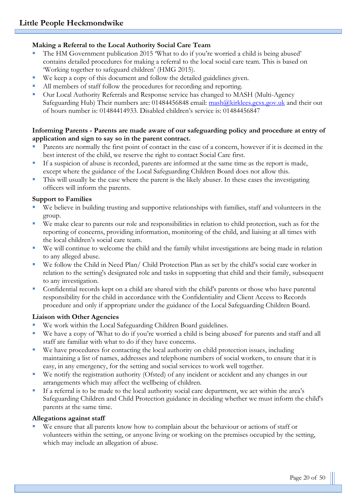#### **Making a Referral to the Local Authority Social Care Team**

- The HM Government publication 2015 'What to do if you're worried a child is being abused' contains detailed procedures for making a referral to the local social care team. This is based on 'Working together to safeguard children' (HMG 2015).
- We keep a copy of this document and follow the detailed guidelines given.
- All members of staff follow the procedures for recording and reporting.
- **Our Local Authority Referrals and Response service has changed to MASH (Multi-Agency** Safeguarding Hub) Their numbers are: 01484456848 email: [mash@kirklees.gcsx.gov.uk](mailto:mash@kirklees.gcsx.gov.uk) and their out of hours number is: 01484414933. Disabled children's service is: 01484456847

#### **Informing Parents - Parents are made aware of our safeguarding policy and procedure at entry of application and sign to say so in the parent contract.**

- Parents are normally the first point of contact in the case of a concern, however if it is deemed in the best interest of the child, we reserve the right to contact Social Care first.
- If a suspicion of abuse is recorded, parents are informed at the same time as the report is made, except where the guidance of the Local Safeguarding Children Board does not allow this.
- This will usually be the case where the parent is the likely abuser. In these cases the investigating officers will inform the parents.

#### **Support to Families**

- We believe in building trusting and supportive relationships with families, staff and volunteers in the group.
- We make clear to parents our role and responsibilities in relation to child protection, such as for the reporting of concerns, providing information, monitoring of the child, and liaising at all times with the local children's social care team.
- We will continue to welcome the child and the family whilst investigations are being made in relation to any alleged abuse.
- We follow the Child in Need Plan/ Child Protection Plan as set by the child's social care worker in relation to the setting's designated role and tasks in supporting that child and their family, subsequent to any investigation.
- Confidential records kept on a child are shared with the child's parents or those who have parental responsibility for the child in accordance with the Confidentiality and Client Access to Records procedure and only if appropriate under the guidance of the Local Safeguarding Children Board.

#### **Liaison with Other Agencies**

- We work within the Local Safeguarding Children Board guidelines.
- We have a copy of 'What to do if you're worried a child is being abused' for parents and staff and all staff are familiar with what to do if they have concerns.
- We have procedures for contacting the local authority on child protection issues, including maintaining a list of names, addresses and telephone numbers of social workers, to ensure that it is easy, in any emergency, for the setting and social services to work well together.
- We notify the registration authority (Ofsted) of any incident or accident and any changes in our arrangements which may affect the wellbeing of children.
- If a referral is to be made to the local authority social care department, we act within the area's Safeguarding Children and Child Protection guidance in deciding whether we must inform the child's parents at the same time.

#### **Allegations against staff**

We ensure that all parents know how to complain about the behaviour or actions of staff or volunteers within the setting, or anyone living or working on the premises occupied by the setting, which may include an allegation of abuse.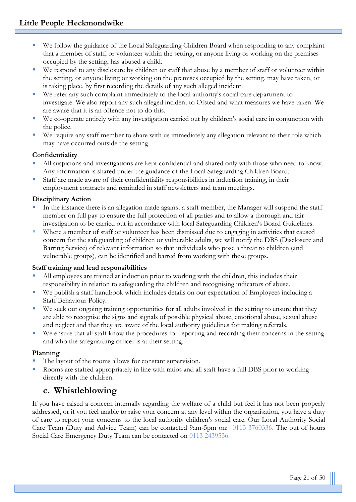- We follow the guidance of the Local Safeguarding Children Board when responding to any complaint that a member of staff, or volunteer within the setting, or anyone living or working on the premises occupied by the setting, has abused a child.
- We respond to any disclosure by children or staff that abuse by a member of staff or volunteer within the setting, or anyone living or working on the premises occupied by the setting, may have taken, or is taking place, by first recording the details of any such alleged incident.
- We refer any such complaint immediately to the local authority's social care department to investigate. We also report any such alleged incident to Ofsted and what measures we have taken. We are aware that it is an offence not to do this.
- We co-operate entirely with any investigation carried out by children's social care in conjunction with the police.
- We require any staff member to share with us immediately any allegation relevant to their role which may have occurred outside the setting

#### **Confidentiality**

- All suspicions and investigations are kept confidential and shared only with those who need to know. Any information is shared under the guidance of the Local Safeguarding Children Board.
- Staff are made aware of their confidentiality responsibilities in induction training, in their employment contracts and reminded in staff newsletters and team meetings.

#### **Disciplinary Action**

- In the instance there is an allegation made against a staff member, the Manager will suspend the staff member on full pay to ensure the full protection of all parties and to allow a thorough and fair investigation to be carried out in accordance with local Safeguarding Children's Board Guidelines.
- Where a member of staff or volunteer has been dismissed due to engaging in activities that caused concern for the safeguarding of children or vulnerable adults, we will notify the DBS (Disclosure and Barring Service) of relevant information so that individuals who pose a threat to children (and vulnerable groups), can be identified and barred from working with these groups.

#### **Staff training and lead responsibilities**

- All employees are trained at induction prior to working with the children, this includes their responsibility in relation to safeguarding the children and recognising indicators of abuse.
- We publish a staff handbook which includes details on our expectation of Employees including a Staff Behaviour Policy.
- We seek out ongoing training opportunities for all adults involved in the setting to ensure that they are able to recognise the signs and signals of possible physical abuse, emotional abuse, sexual abuse and neglect and that they are aware of the local authority guidelines for making referrals.
- We ensure that all staff know the procedures for reporting and recording their concerns in the setting and who the safeguarding officer is at their setting.

#### **Planning**

- The layout of the rooms allows for constant supervision.
- Rooms are staffed appropriately in line with ratios and all staff have a full DBS prior to working directly with the children.

# **c. Whistleblowing**

If you have raised a concern internally regarding the welfare of a child but feel it has not been properly addressed, or if you feel unable to raise your concern at any level within the organisation, you have a duty of care to report your concerns to the local authority children's social care. Our Local Authority Social Care Team (Duty and Advice Team) can be contacted 9am-5pm on: 0113 3760336. The out of hours Social Care Emergency Duty Team can be contacted on 0113 2439536.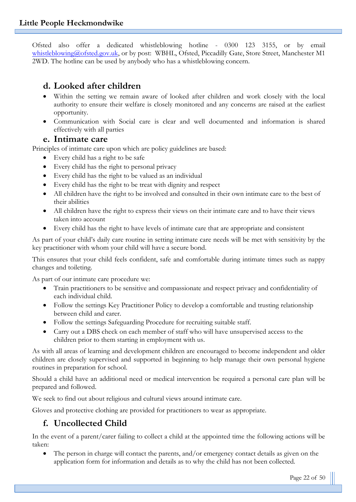Ofsted also offer a dedicated whistleblowing hotline - 0300 123 3155, or by email [whistleblowing@ofsted.gov.uk,](mailto:whistleblowing@ofsted.gov.uk) or by post: WBHL, Ofsted, Piccadilly Gate, Store Street, Manchester M1 2WD. The hotline can be used by anybody who has a whistleblowing concern.

# **d. Looked after children**

- Within the setting we remain aware of looked after children and work closely with the local authority to ensure their welfare is closely monitored and any concerns are raised at the earliest opportunity.
- Communication with Social care is clear and well documented and information is shared effectively with all parties

#### **e. Intimate care**

Principles of intimate care upon which are policy guidelines are based:

- Every child has a right to be safe
- Every child has the right to personal privacy
- Every child has the right to be valued as an individual
- Every child has the right to be treat with dignity and respect
- All children have the right to be involved and consulted in their own intimate care to the best of their abilities
- All children have the right to express their views on their intimate care and to have their views taken into account
- Every child has the right to have levels of intimate care that are appropriate and consistent

As part of your child's daily care routine in setting intimate care needs will be met with sensitivity by the key practitioner with whom your child will have a secure bond.

This ensures that your child feels confident, safe and comfortable during intimate times such as nappy changes and toileting.

As part of our intimate care procedure we:

- Train practitioners to be sensitive and compassionate and respect privacy and confidentiality of each individual child.
- Follow the settings Key Practitioner Policy to develop a comfortable and trusting relationship between child and carer.
- Follow the settings Safeguarding Procedure for recruiting suitable staff.
- Carry out a DBS check on each member of staff who will have unsupervised access to the children prior to them starting in employment with us.

As with all areas of learning and development children are encouraged to become independent and older children are closely supervised and supported in beginning to help manage their own personal hygiene routines in preparation for school.

Should a child have an additional need or medical intervention be required a personal care plan will be prepared and followed.

We seek to find out about religious and cultural views around intimate care.

Gloves and protective clothing are provided for practitioners to wear as appropriate.

# **f. Uncollected Child**

In the event of a parent/carer failing to collect a child at the appointed time the following actions will be taken:

The person in charge will contact the parents, and/or emergency contact details as given on the application form for information and details as to why the child has not been collected.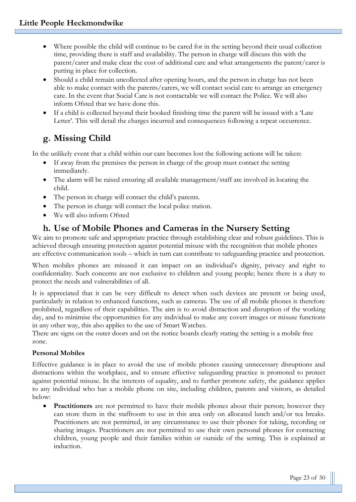- Where possible the child will continue to be cared for in the setting beyond their usual collection time, providing there is staff and availability. The person in charge will discuss this with the parent/carer and make clear the cost of additional care and what arrangements the parent/carer is putting in place for collection.
- Should a child remain uncollected after opening hours, and the person in charge has not been able to make contact with the parents/carers, we will contact social care to arrange an emergency care. In the event that Social Care is not contactable we will contact the Police. We will also inform Ofsted that we have done this.
- If a child is collected beyond their booked finishing time the parent will be issued with a 'Late Letter'. This will detail the charges incurred and consequences following a repeat occurrence.

# **g. Missing Child**

In the unlikely event that a child within our care becomes lost the following actions will be taken:

- If away from the premises the person in charge of the group must contact the setting immediately.
- The alarm will be raised ensuring all available management/staff are involved in locating the child.
- The person in charge will contact the child's parents.
- The person in charge will contact the local police station.
- We will also inform Ofsted

# **h. Use of Mobile Phones and Cameras in the Nursery Setting**

We aim to promote safe and appropriate practice through establishing clear and robust guidelines. This is achieved through ensuring protection against potential misuse with the recognition that mobile phones are effective communication tools – which in turn can contribute to safeguarding practice and protection.

When mobiles phones are misused it can impact on an individual's dignity, privacy and right to confidentiality. Such concerns are not exclusive to children and young people; hence there is a duty to protect the needs and vulnerabilities of all.

It is appreciated that it can be very difficult to detect when such devices are present or being used, particularly in relation to enhanced functions, such as cameras. The use of all mobile phones is therefore prohibited, regardless of their capabilities. The aim is to avoid distraction and disruption of the working day, and to minimise the opportunities for any individual to make any covert images or misuse functions in any other way, this also applies to the use of Smart Watches.

There are signs on the outer doors and on the notice boards clearly stating the setting is a mobile free zone.

#### **Personal Mobiles**

Effective guidance is in place to avoid the use of mobile phones causing unnecessary disruptions and distractions within the workplace, and to ensure effective safeguarding practice is promoted to protect against potential misuse. In the interests of equality, and to further promote safety, the guidance applies to any individual who has a mobile phone on site, including children, parents and visitors, as detailed below:

• **Practitioners** are not permitted to have their mobile phones about their person; however they can store them in the staffroom to use in this area only on allocated lunch and/or tea breaks. Practitioners are not permitted, in any circumstance to use their phones for taking, recording or sharing images. Practitioners are not permitted to use their own personal phones for contacting children, young people and their families within or outside of the setting. This is explained at induction.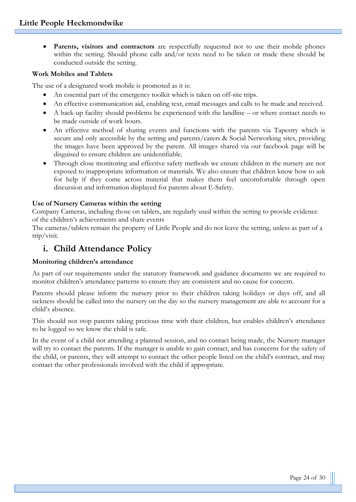**Parents, visitors and contractors** are respectfully requested not to use their mobile phones within the setting. Should phone calls and/or texts need to be taken or made these should be conducted outside the setting.

#### **Work Mobiles and Tablets**

The use of a designated work mobile is promoted as it is:

- An essential part of the emergency toolkit which is taken on off-site trips.
- An effective communication aid, enabling text, email messages and calls to be made and received.
- A back-up facility should problems be experienced with the landline or where contact needs to be made outside of work hours.
- An effective method of sharing events and functions with the parents via Tapestry which is secure and only accessible by the setting and parents/carers & Social Networking sites, providing the images have been approved by the parent. All images shared via our facebook page will be disguised to ensure children are unidentifiable.
- Through close monitoring and effective safety methods we ensure children in the nursery are not exposed to inappropriate information or materials. We also ensure that children know how to ask for help if they come across material that makes them feel uncomfortable through open discussion and information displayed for parents about E-Safety.

#### **Use of Nursery Cameras within the setting**

Company Cameras, including those on tablets, are regularly used within the setting to provide evidence of the children's achievements and share events

The cameras/tablets remain the property of Little People and do not leave the setting, unless as part of a trip/visit.

# **i. Child Attendance Policy**

#### **Monitoring children's attendance**

As part of our requirements under the statutory framework and guidance documents we are required to monitor children's attendance patterns to ensure they are consistent and no cause for concern.

Parents should please inform the nursery prior to their children taking holidays or days off, and all sickness should be called into the nursery on the day so the nursery management are able to account for a child's absence.

This should not stop parents taking precious time with their children, but enables children's attendance to be logged so we know the child is safe.

In the event of a child not attending a planned session, and no contact being made, the Nursery manager will try to contact the parents. If the manager is unable to gain contact, and has concerns for the safety of the child, or parents, they will attempt to contact the other people listed on the child's contract, and may contact the other professionals involved with the child if appropriate.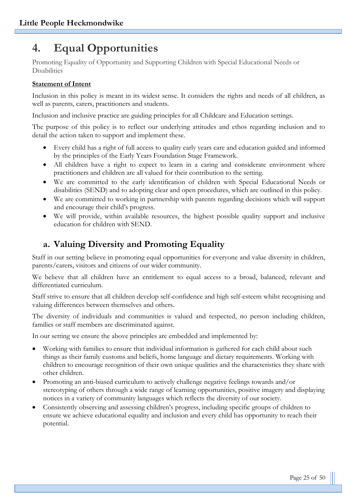# **4. Equal Opportunities**

Promoting Equality of Opportunity and Supporting Children with Special Educational Needs or Disabilities

#### **Statement of Intent**

Inclusion in this policy is meant in its widest sense. It considers the rights and needs of all children, as well as parents, carers, practitioners and students.

Inclusion and inclusive practice are guiding principles for all Childcare and Education settings.

The purpose of this policy is to reflect our underlying attitudes and ethos regarding inclusion and to detail the action taken to support and implement these.

- Every child has a right of full access to quality early years care and education guided and informed by the principles of the Early Years Foundation Stage Framework.
- All children have a right to expect to learn in a caring and considerate environment where practitioners and children are all valued for their contribution to the setting.
- We are committed to the early identification of children with Special Educational Needs or disabilities (SEND) and to adopting clear and open procedures, which are outlined in this policy.
- We are committed to working in partnership with parents regarding decisions which will support and encourage their child's progress.
- We will provide, within available resources, the highest possible quality support and inclusive education for children with SEND.

# **a. Valuing Diversity and Promoting Equality**

Staff in our setting believe in promoting equal opportunities for everyone and value diversity in children, parents/carers, visitors and citizens of our wider community.

We believe that all children have an entitlement to equal access to a broad, balanced, relevant and differentiated curriculum.

Staff strive to ensure that all children develop self-confidence and high self-esteem whilst recognising and valuing differences between themselves and others.

The diversity of individuals and communities is valued and respected, no person including children, families or staff members are discriminated against.

In our setting we ensure the above principles are embedded and implemented by:

- Working with families to ensure that individual information is gathered for each child about such things as their family customs and beliefs, home language and dietary requirements. Working with children to encourage recognition of their own unique qualities and the characteristics they share with other children.
- Promoting an anti-biased curriculum to actively challenge negative feelings towards and/or stereotyping of others through a wide range of learning opportunities, positive imagery and displaying notices in a variety of community languages which reflects the diversity of our society.
- Consistently observing and assessing children's progress, including specific groups of children to ensure we achieve educational equality and inclusion and every child has opportunity to reach their potential.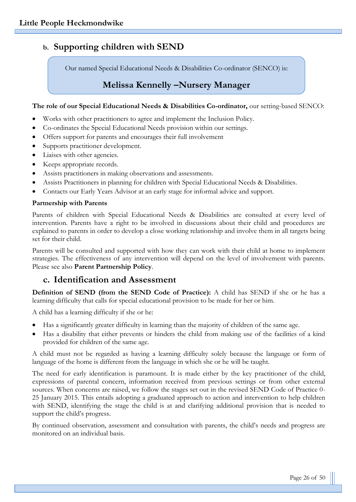# **b. Supporting children with SEND**

Our named Special Educational Needs & Disabilities Co-ordinator (SENCO) is:

# **Melissa Kennelly –Nursery Manager**

#### **The role of our Special Educational Needs & Disabilities Co-ordinator,** our setting-based SENCO:

- Works with other practitioners to agree and implement the Inclusion Policy.
- Co-ordinates the Special Educational Needs provision within our settings.
- Offers support for parents and encourages their full involvement
- Supports practitioner development.
- Liaises with other agencies.
- Keeps appropriate records.
- Assists practitioners in making observations and assessments.
- Assists Practitioners in planning for children with Special Educational Needs & Disabilities.
- Contacts our Early Years Advisor at an early stage for informal advice and support.

#### **Partnership with Parents**

Parents of children with Special Educational Needs & Disabilities are consulted at every level of intervention. Parents have a right to be involved in discussions about their child and procedures are explained to parents in order to develop a close working relationship and involve them in all targets being set for their child.

Parents will be consulted and supported with how they can work with their child at home to implement strategies. The effectiveness of any intervention will depend on the level of involvement with parents. Please see also **Parent Partnership Policy**.

#### **c. Identification and Assessment**

**Definition of SEND (from the SEND Code of Practice):** A child has SEND if she or he has a learning difficulty that calls for special educational provision to be made for her or him.

A child has a learning difficulty if she or he:

- Has a significantly greater difficulty in learning than the majority of children of the same age.
- Has a disability that either prevents or hinders the child from making use of the facilities of a kind provided for children of the same age.

A child must not be regarded as having a learning difficulty solely because the language or form of language of the home is different from the language in which she or he will be taught.

The need for early identification is paramount. It is made either by the key practitioner of the child, expressions of parental concern, information received from previous settings or from other external sources. When concerns are raised, we follow the stages set out in the revised SEND Code of Practice 0- 25 January 2015. This entails adopting a graduated approach to action and intervention to help children with SEND, identifying the stage the child is at and clarifying additional provision that is needed to support the child's progress.

By continued observation, assessment and consultation with parents, the child's needs and progress are monitored on an individual basis.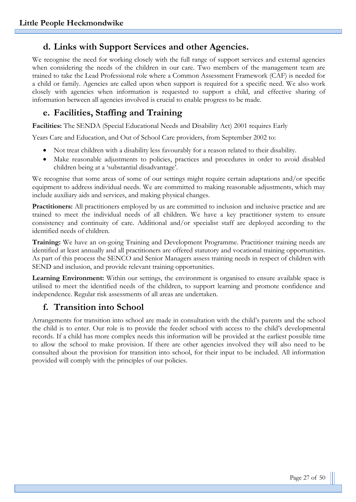# **d. Links with Support Services and other Agencies.**

We recognise the need for working closely with the full range of support services and external agencies when considering the needs of the children in our care. Two members of the management team are trained to take the Lead Professional role where a Common Assessment Framework (CAF) is needed for a child or family. Agencies are called upon when support is required for a specific need. We also work closely with agencies when information is requested to support a child, and effective sharing of information between all agencies involved is crucial to enable progress to be made.

# **e. Facilities, Staffing and Training**

**Facilities:** The SENDA (Special Educational Needs and Disability Act) 2001 requires Early

Years Care and Education, and Out of School Care providers, from September 2002 to:

- Not treat children with a disability less favourably for a reason related to their disability.
- Make reasonable adjustments to policies, practices and procedures in order to avoid disabled children being at a 'substantial disadvantage'.

We recognise that some areas of some of our settings might require certain adaptations and/or specific equipment to address individual needs. We are committed to making reasonable adjustments, which may include auxiliary aids and services, and making physical changes.

**Practitioners:** All practitioners employed by us are committed to inclusion and inclusive practice and are trained to meet the individual needs of all children. We have a key practitioner system to ensure consistency and continuity of care. Additional and/or specialist staff are deployed according to the identified needs of children.

**Training:** We have an on-going Training and Development Programme. Practitioner training needs are identified at least annually and all practitioners are offered statutory and vocational training opportunities. As part of this process the SENCO and Senior Managers assess training needs in respect of children with SEND and inclusion, and provide relevant training opportunities.

**Learning Environment:** Within our settings, the environment is organised to ensure available space is utilised to meet the identified needs of the children, to support learning and promote confidence and independence. Regular risk assessments of all areas are undertaken.

# **f. Transition into School**

Arrangements for transition into school are made in consultation with the child's parents and the school the child is to enter. Our role is to provide the feeder school with access to the child's developmental records. If a child has more complex needs this information will be provided at the earliest possible time to allow the school to make provision. If there are other agencies involved they will also need to be consulted about the provision for transition into school, for their input to be included. All information provided will comply with the principles of our policies.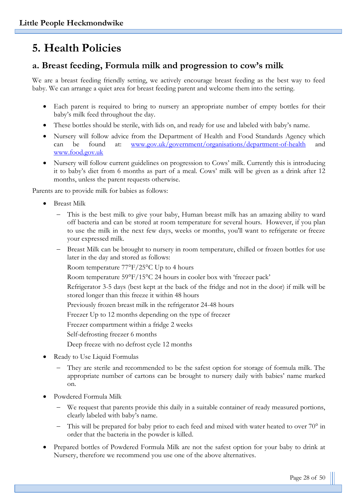# **5. Health Policies**

# **a. Breast feeding, Formula milk and progression to cow's milk**

We are a breast feeding friendly setting, we actively encourage breast feeding as the best way to feed baby. We can arrange a quiet area for breast feeding parent and welcome them into the setting.

- Each parent is required to bring to nursery an appropriate number of empty bottles for their baby's milk feed throughout the day.
- These bottles should be sterile, with lids on, and ready for use and labeled with baby's name.
- Nursery will follow advice from the Department of Health and Food Standards Agency which can be found at: [www.gov.uk/government/organisations/department-of-health](http://www.gov.uk/government/organisations/department-of-health) and [www.food.gov.uk](http://www.food.gov.uk/)
- Nursery will follow current guidelines on progression to Cows' milk. Currently this is introducing it to baby's diet from 6 months as part of a meal. Cows' milk will be given as a drink after 12 months, unless the parent requests otherwise.

Parents are to provide milk for babies as follows:

- Breast Milk
	- This is the best milk to give your baby, Human breast milk has an amazing ability to ward off bacteria and can be stored at room temperature for several hours. However, if you plan to use the milk in the next few days, weeks or months, you'll want to refrigerate or freeze your expressed milk.
	- Breast Milk can be brought to nursery in room temperature, chilled or frozen bottles for use later in the day and stored as follows:

Room temperature 77°F/25°C Up to 4 hours

Room temperature 59°F/15°C 24 hours in cooler box with 'freezer pack'

Refrigerator 3-5 days (best kept at the back of the fridge and not in the door) if milk will be stored longer than this freeze it within 48 hours

Previously frozen breast milk in the refrigerator 24-48 hours

Freezer Up to 12 months depending on the type of freezer

Freezer compartment within a fridge 2 weeks

Self-defrosting freezer 6 months

Deep freeze with no defrost cycle 12 months

- Ready to Use Liquid Formulas
	- They are sterile and recommended to be the safest option for storage of formula milk. The appropriate number of cartons can be brought to nursery daily with babies' name marked on.
- Powdered Formula Milk
	- We request that parents provide this daily in a suitable container of ready measured portions, clearly labeled with baby's name.
	- This will be prepared for baby prior to each feed and mixed with water heated to over 70° in order that the bacteria in the powder is killed.
- Prepared bottles of Powdered Formula Milk are not the safest option for your baby to drink at Nursery, therefore we recommend you use one of the above alternatives.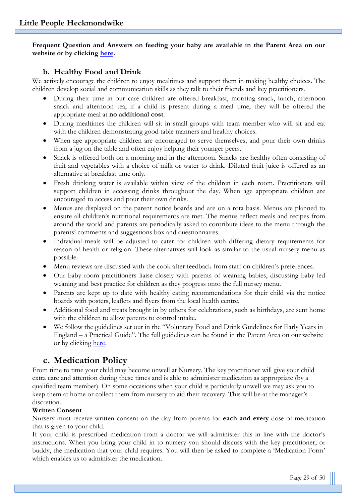**Frequent Question and Answers on feeding your baby are available in the Parent Area on our website or by clicking [here.](http://www.littlepeoplenurseries.co.uk/parent-area/why-choose-us-1)**

#### **b. Healthy Food and Drink**

We actively encourage the children to enjoy mealtimes and support them in making healthy choices. The children develop social and communication skills as they talk to their friends and key practitioners.

- During their time in our care children are offered breakfast, morning snack, lunch, afternoon snack and afternoon tea, if a child is present during a meal time, they will be offered the appropriate meal at **no additional cost**.
- During mealtimes the children will sit in small groups with team member who will sit and eat with the children demonstrating good table manners and healthy choices.
- When age appropriate children are encouraged to serve themselves, and pour their own drinks from a jug on the table and often enjoy helping their younger peers.
- Snack is offered both on a morning and in the afternoon. Snacks are healthy often consisting of fruit and vegetables with a choice of milk or water to drink. Diluted fruit juice is offered as an alternative at breakfast time only.
- Fresh drinking water is available within view of the children in each room. Practitioners will support children in accessing drinks throughout the day. When age appropriate children are encouraged to access and pour their own drinks.
- Menus are displayed on the parent notice boards and are on a rota basis. Menus are planned to ensure all children's nutritional requirements are met. The menus reflect meals and recipes from around the world and parents are periodically asked to contribute ideas to the menu through the parents' comments and suggestions box and questionnaires.
- Individual meals will be adjusted to cater for children with differing dietary requirements for reason of health or religion. These alternatives will look as similar to the usual nursery menu as possible.
- Menu reviews are discussed with the cook after feedback from staff on children's preferences.
- Our baby room practitioners liaise closely with parents of weaning babies, discussing baby led weaning and best practice for children as they progress onto the full nursey menu.
- Parents are kept up to date with healthy eating recommendations for their child via the notice boards with posters, leaflets and flyers from the local health centre.
- Additional food and treats brought in by others for celebrations, such as birthdays, are sent home with the children to allow parents to control intake.
- We follow the guidelines set out in the "Voluntary Food and Drink Guidelines for Early Years in England – a Practical Guide". The full guidelines can be found in the Parent Area on our website or by clicking [here.](http://littlepeople.sites.schooljotter2.com/parent-area/voluntaryguidelines)

# **c. Medication Policy**

From time to time your child may become unwell at Nursery. The key practitioner will give your child extra care and attention during these times and is able to administer medication as appropriate (by a qualified team member). On some occasions when your child is particularly unwell we may ask you to keep them at home or collect them from nursery to aid their recovery. This will be at the manager's discretion.

#### **Written Consent**

Nursery must receive written consent on the day from parents for **each and every** dose of medication that is given to your child.

If your child is prescribed medication from a doctor we will administer this in line with the doctor's instructions. When you bring your child in to nursery you should discuss with the key practitioner, or buddy, the medication that your child requires. You will then be asked to complete a 'Medication Form' which enables us to administer the medication.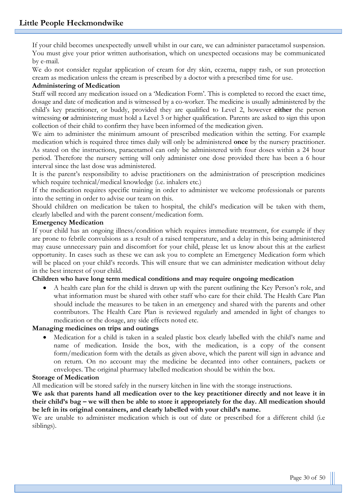If your child becomes unexpectedly unwell whilst in our care, we can administer paracetamol suspension. You must give your prior written authorisation, which on unexpected occasions may be communicated by e-mail.

We do not consider regular application of cream for dry skin, eczema, nappy rash, or sun protection cream as medication unless the cream is prescribed by a doctor with a prescribed time for use.

#### **Administering of Medication**

Staff will record any medication issued on a 'Medication Form'. This is completed to record the exact time, dosage and date of medication and is witnessed by a co-worker. The medicine is usually administered by the child's key practitioner, or buddy, provided they are qualified to Level 2, however **either** the person witnessing **or** administering must hold a Level 3 or higher qualification. Parents are asked to sign this upon collection of their child to confirm they have been informed of the medication given.

We aim to administer the minimum amount of prescribed medication within the setting. For example medication which is required three times daily will only be administered **once** by the nursery practitioner. As stated on the instructions, paracetamol can only be administered with four doses within a 24 hour period. Therefore the nursery setting will only administer one dose provided there has been a 6 hour interval since the last dose was administered.

It is the parent's responsibility to advise practitioners on the administration of prescription medicines which require technical/medical knowledge (i.e. inhalers etc.)

If the medication requires specific training in order to administer we welcome professionals or parents into the setting in order to advise our team on this.

Should children on medication be taken to hospital, the child's medication will be taken with them, clearly labelled and with the parent consent/medication form.

#### **Emergency Medication**

If your child has an ongoing illness/condition which requires immediate treatment, for example if they are prone to febrile convulsions as a result of a raised temperature, and a delay in this being administered may cause unnecessary pain and discomfort for your child, please let us know about this at the earliest opportunity. In cases such as these we can ask you to complete an Emergency Medication form which will be placed on your child's records. This will ensure that we can administer medication without delay in the best interest of your child.

#### **Children who have long term medical conditions and may require ongoing medication**

• A health care plan for the child is drawn up with the parent outlining the Key Person's role, and what information must be shared with other staff who care for their child. The Health Care Plan should include the measures to be taken in an emergency and shared with the parents and other contributors. The Health Care Plan is reviewed regularly and amended in light of changes to medication or the dosage, any side effects noted etc.

#### **Managing medicines on trips and outings**

• Medication for a child is taken in a sealed plastic box clearly labelled with the child's name and name of medication. Inside the box, with the medication, is a copy of the consent form/medication form with the details as given above, which the parent will sign in advance and on return. On no account may the medicine be decanted into other containers, packets or envelopes. The original pharmacy labelled medication should be within the box.

#### **Storage of Medication**

All medication will be stored safely in the nursery kitchen in line with the storage instructions.

We ask that parents hand all medication over to the key practitioner directly and not leave it in **their child's bag – we will then be able to store it appropriately for the day. All medication should be left in its original containers, and clearly labelled with your child's name.**

We are unable to administer medication which is out of date or prescribed for a different child (i.e. siblings).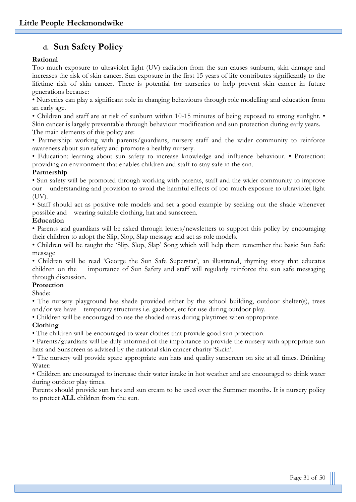# **d. Sun Safety Policy**

#### **Rational**

Too much exposure to ultraviolet light (UV) radiation from the sun causes sunburn, skin damage and increases the risk of skin cancer. Sun exposure in the first 15 years of life contributes significantly to the lifetime risk of skin cancer. There is potential for nurseries to help prevent skin cancer in future generations because:

• Nurseries can play a significant role in changing behaviours through role modelling and education from an early age.

• Children and staff are at risk of sunburn within 10-15 minutes of being exposed to strong sunlight. •

Skin cancer is largely preventable through behaviour modification and sun protection during early years. The main elements of this policy are:

• Partnership: working with parents/guardians, nursery staff and the wider community to reinforce awareness about sun safety and promote a healthy nursery.

• Education: learning about sun safety to increase knowledge and influence behaviour. • Protection: providing an environment that enables children and staff to stay safe in the sun.

#### **Partnership**

• Sun safety will be promoted through working with parents, staff and the wider community to improve our understanding and provision to avoid the harmful effects of too much exposure to ultraviolet light (UV).

• Staff should act as positive role models and set a good example by seeking out the shade whenever possible and wearing suitable clothing, hat and sunscreen.

#### **Education**

• Parents and guardians will be asked through letters/newsletters to support this policy by encouraging their children to adopt the Slip, Slop, Slap message and act as role models.

• Children will be taught the 'Slip, Slop, Slap' Song which will help them remember the basic Sun Safe message

• Children will be read 'George the Sun Safe Superstar', an illustrated, rhyming story that educates children on the importance of Sun Safety and staff will regularly reinforce the sun safe messaging through discussion.

#### **Protection**

Shade:

• The nursery playground has shade provided either by the school building, outdoor shelter(s), trees and/or we have temporary structures i.e. gazebos, etc for use during outdoor play.

• Children will be encouraged to use the shaded areas during playtimes when appropriate.

#### **Clothing**

• The children will be encouraged to wear clothes that provide good sun protection.

• Parents/guardians will be duly informed of the importance to provide the nursery with appropriate sun hats and Sunscreen as advised by the national skin cancer charity 'Skcin'.

• The nursery will provide spare appropriate sun hats and quality sunscreen on site at all times. Drinking Water:

• Children are encouraged to increase their water intake in hot weather and are encouraged to drink water during outdoor play times.

Parents should provide sun hats and sun cream to be used over the Summer months. It is nursery policy to protect **ALL** children from the sun.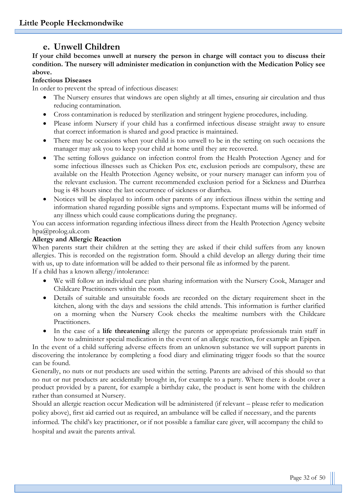# **e. Unwell Children**

**If your child becomes unwell at nursery the person in charge will contact you to discuss their condition. The nursery will administer medication in conjunction with the Medication Policy see above.**

#### **Infectious Diseases**

In order to prevent the spread of infectious diseases:

- The Nursery ensures that windows are open slightly at all times, ensuring air circulation and thus reducing contamination.
- Cross contamination is reduced by sterilization and stringent hygiene procedures, including.
- Please inform Nursery if your child has a confirmed infectious disease straight away to ensure that correct information is shared and good practice is maintained.
- There may be occasions when your child is too unwell to be in the setting on such occasions the manager may ask you to keep your child at home until they are recovered.
- The setting follows guidance on infection control from the Health Protection Agency and for some infectious illnesses such as Chicken Pox etc, exclusion periods are compulsory, these are available on the Health Protection Agency website, or your nursery manager can inform you of the relevant exclusion. The current recommended exclusion period for a Sickness and Diarrhea bug is 48 hours since the last occurrence of sickness or diarrhea.
- Notices will be displayed to inform other parents of any infectious illness within the setting and information shared regarding possible signs and symptoms. Expectant mums will be informed of any illness which could cause complications during the pregnancy.

You can access information regarding infectious illness direct from the Health Protection Agency website hpa@prolog.uk.com

#### **Allergy and Allergic Reaction**

When parents start their children at the setting they are asked if their child suffers from any known allergies. This is recorded on the registration form. Should a child develop an allergy during their time with us, up to date information will be added to their personal file as informed by the parent. If a child has a known allergy/intolerance:

- We will follow an individual care plan sharing information with the Nursery Cook, Manager and Childcare Practitioners within the room.
- Details of suitable and unsuitable foods are recorded on the dietary requirement sheet in the kitchen, along with the days and sessions the child attends. This information is further clarified on a morning when the Nursery Cook checks the mealtime numbers with the Childcare Practitioners.
- In the case of a **life threatening** allergy the parents or appropriate professionals train staff in how to administer special medication in the event of an allergic reaction, for example an Epipen.

In the event of a child suffering adverse effects from an unknown substance we will support parents in discovering the intolerance by completing a food diary and eliminating trigger foods so that the source can be found.

Generally, no nuts or nut products are used within the setting. Parents are advised of this should so that no nut or nut products are accidentally brought in, for example to a party. Where there is doubt over a product provided by a parent, for example a birthday cake, the product is sent home with the children rather than consumed at Nursery.

Should an allergic reaction occur Medication will be administered (if relevant – please refer to medication policy above), first aid carried out as required, an ambulance will be called if necessary, and the parents

informed. The child's key practitioner, or if not possible a familiar care giver, will accompany the child to hospital and await the parents arrival.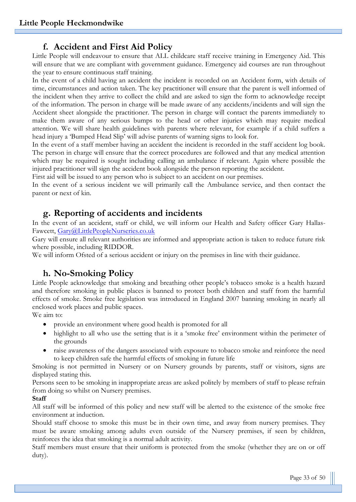## **f. Accident and First Aid Policy**

Little People will endeavour to ensure that ALL childcare staff receive training in Emergency Aid. This will ensure that we are compliant with government guidance. Emergency aid courses are run throughout the year to ensure continuous staff training.

In the event of a child having an accident the incident is recorded on an Accident form, with details of time, circumstances and action taken. The key practitioner will ensure that the parent is well informed of the incident when they arrive to collect the child and are asked to sign the form to acknowledge receipt of the information. The person in charge will be made aware of any accidents/incidents and will sign the Accident sheet alongside the practitioner. The person in charge will contact the parents immediately to make them aware of any serious bumps to the head or other injuries which may require medical attention. We will share health guidelines with parents where relevant, for example if a child suffers a head injury a 'Bumped Head Slip' will advise parents of warning signs to look for.

In the event of a staff member having an accident the incident is recorded in the staff accident log book. The person in charge will ensure that the correct procedures are followed and that any medical attention which may be required is sought including calling an ambulance if relevant. Again where possible the injured practitioner will sign the accident book alongside the person reporting the accident.

First aid will be issued to any person who is subject to an accident on our premises.

In the event of a serious incident we will primarily call the Ambulance service, and then contact the parent or next of kin.

## **g. Reporting of accidents and incidents**

In the event of an accident, staff or child, we will inform our Health and Safety officer Gary Hallas-Fawcett, [Gary@LittlePeopleNurseries.co.uk](mailto:Gary@LittlePeopleNurseries.co.uk)

Gary will ensure all relevant authorities are informed and appropriate action is taken to reduce future risk where possible, including RIDDOR.

We will inform Ofsted of a serious accident or injury on the premises in line with their guidance.

# **h. No-Smoking Policy**

Little People acknowledge that smoking and breathing other people's tobacco smoke is a health hazard and therefore smoking in public places is banned to protect both children and staff from the harmful effects of smoke. Smoke free legislation was introduced in England 2007 banning smoking in nearly all enclosed work places and public spaces.

We aim to:

- provide an environment where good health is promoted for all
- highlight to all who use the setting that is it a 'smoke free' environment within the perimeter of the grounds
- raise awareness of the dangers associated with exposure to tobacco smoke and reinforce the need to keep children safe the harmful effects of smoking in future life

Smoking is not permitted in Nursery or on Nursery grounds by parents, staff or visitors, signs are displayed stating this.

Persons seen to be smoking in inappropriate areas are asked politely by members of staff to please refrain from doing so whilst on Nursery premises.

#### **Staff**

All staff will be informed of this policy and new staff will be alerted to the existence of the smoke free environment at induction.

Should staff choose to smoke this must be in their own time, and away from nursery premises. They must be aware smoking among adults even outside of the Nursery premises, if seen by children, reinforces the idea that smoking is a normal adult activity.

Staff members must ensure that their uniform is protected from the smoke (whether they are on or off duty).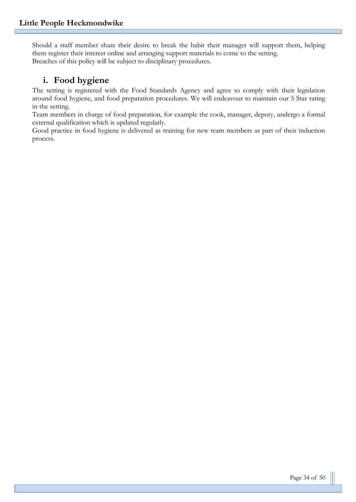Should a staff member share their desire to break the habit their manager will support them, helping them register their interest online and arranging support materials to come to the setting. Breaches of this policy will be subject to disciplinary procedures.

# **i. Food hygiene**

The setting is registered with the Food Standards Agency and agree to comply with their legislation around food hygiene, and food preparation procedures. We will endeavour to maintain our 5 Star rating in the setting.

Team members in charge of food preparation, for example the cook, manager, deputy, undergo a formal external qualification which is updated regularly.

Good practice in food hygiene is delivered as training for new team members as part of their induction process.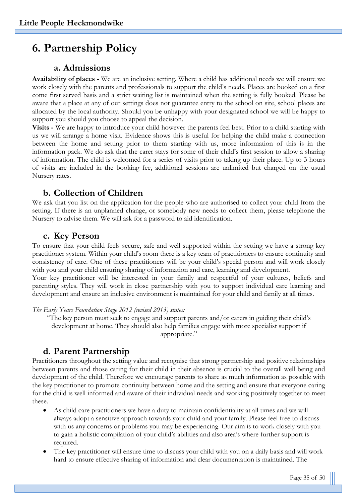# **6. Partnership Policy**

# **a. Admissions**

**Availability of places -** We are an inclusive setting. Where a child has additional needs we will ensure we work closely with the parents and professionals to support the child's needs. Places are booked on a first come first served basis and a strict waiting list is maintained when the setting is fully booked. Please be aware that a place at any of our settings does not guarantee entry to the school on site, school places are allocated by the local authority. Should you be unhappy with your designated school we will be happy to support you should you choose to appeal the decision.

**Visits -** We are happy to introduce your child however the parents feel best. Prior to a child starting with us we will arrange a home visit. Evidence shows this is useful for helping the child make a connection between the home and setting prior to them starting with us, more information of this is in the information pack. We do ask that the carer stays for some of their child's first session to allow a sharing of information. The child is welcomed for a series of visits prior to taking up their place. Up to 3 hours of visits are included in the booking fee, additional sessions are unlimited but charged on the usual Nursery rates.

# **b. Collection of Children**

We ask that you list on the application for the people who are authorised to collect your child from the setting. If there is an unplanned change, or somebody new needs to collect them, please telephone the Nursery to advise them. We will ask for a password to aid identification.

# **c. Key Person**

To ensure that your child feels secure, safe and well supported within the setting we have a strong key practitioner system. Within your child's room there is a key team of practitioners to ensure continuity and consistency of care. One of these practitioners will be your child's special person and will work closely with you and your child ensuring sharing of information and care, learning and development. Your key practitioner will be interested in your family and respectful of your cultures, beliefs and parenting styles. They will work in close partnership with you to support individual care learning and development and ensure an inclusive environment is maintained for your child and family at all times.

*The Early Years Foundation Stage 2012 (revised 2013) states:*

"The key person must seek to engage and support parents and/or carers in guiding their child's development at home. They should also help families engage with more specialist support if appropriate."

# **d. Parent Partnership**

Practitioners throughout the setting value and recognise that strong partnership and positive relationships between parents and those caring for their child in their absence is crucial to the overall well being and development of the child. Therefore we encourage parents to share as much information as possible with the key practitioner to promote continuity between home and the setting and ensure that everyone caring for the child is well informed and aware of their individual needs and working positively together to meet these.

- As child care practitioners we have a duty to maintain confidentiality at all times and we will always adopt a sensitive approach towards your child and your family. Please feel free to discuss with us any concerns or problems you may be experiencing. Our aim is to work closely with you to gain a holistic compilation of your child's abilities and also area's where further support is required.
- The key practitioner will ensure time to discuss your child with you on a daily basis and will work hard to ensure effective sharing of information and clear documentation is maintained. The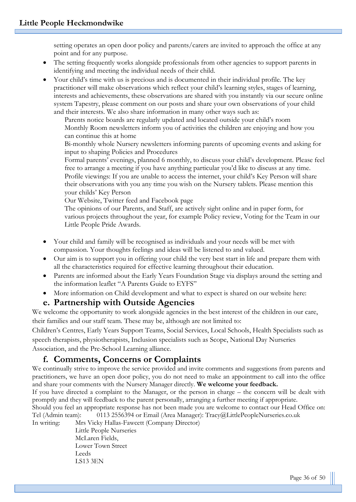setting operates an open door policy and parents/carers are invited to approach the office at any point and for any purpose.

- The setting frequently works alongside professionals from other agencies to support parents in identifying and meeting the individual needs of their child.
- Your child's time with us is precious and is documented in their individual profile. The key practitioner will make observations which reflect your child's learning styles, stages of learning, interests and achievements, these observations are shared with you instantly via our secure online system Tapestry, please comment on our posts and share your own observations of your child and their interests. We also share information in many other ways such as:

Parents notice boards are regularly updated and located outside your child's room Monthly Room newsletters inform you of activities the children are enjoying and how you can continue this at home

Bi-monthly whole Nursery newsletters informing parents of upcoming events and asking for input to shaping Policies and Procedures

Formal parents' evenings, planned 6 monthly, to discuss your child's development. Please feel free to arrange a meeting if you have anything particular you'd like to discuss at any time. Profile viewings: If you are unable to access the internet, your child's Key Person will share their observations with you any time you wish on the Nursery tablets. Please mention this your childs' Key Person

Our Website, Twitter feed and Facebook page

The opinions of our Parents, and Staff, are actively sight online and in paper form, for various projects throughout the year, for example Policy review, Voting for the Team in our Little People Pride Awards.

- Your child and family will be recognised as individuals and your needs will be met with compassion. Your thoughts feelings and ideas will be listened to and valued.
- Our aim is to support you in offering your child the very best start in life and prepare them with all the characteristics required for effective learning throughout their education.
- Parents are informed about the Early Years Foundation Stage via displays around the setting and the information leaflet "A Parents Guide to EYFS"
- More information on Child development and what to expect is shared on our website here:

#### **e. Partnership with Outside Agencies**

We welcome the opportunity to work alongside agencies in the best interest of the children in our care, their families and our staff team. These may be, although are not limited to:

Children's Centres, Early Years Support Teams, Social Services, Local Schools, Health Specialists such as speech therapists, physiotherapists, Inclusion specialists such as Scope, National Day Nurseries Association, and the Pre-School Learning alliance.

## **f. Comments, Concerns or Complaints**

We continually strive to improve the service provided and invite comments and suggestions from parents and practitioners, we have an open door policy, you do not need to make an appointment to call into the office and share your comments with the Nursery Manager directly. **We welcome your feedback.**

If you have directed a complaint to the Manager, or the person in charge – the concern will be dealt with promptly and they will feedback to the parent personally, arranging a further meeting if appropriate.

Should you feel an appropriate response has not been made you are welcome to contact our Head Office on: Tel (Admin team): 0113 2556394 or Email (Area Manager): Tracy@LittlePeopleNurseries.co.uk

In writing: Mrs Vicky Hallas-Fawcett (Company Director)

Little People Nurseries McLaren Fields, Lower Town Street Leeds LS13 3EN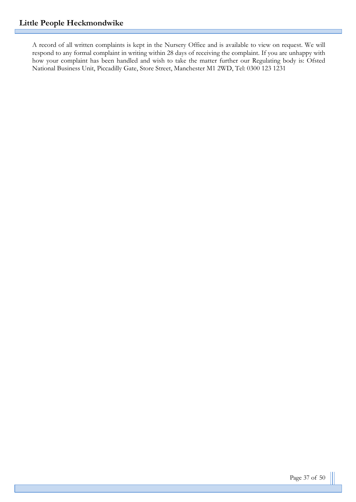A record of all written complaints is kept in the Nursery Office and is available to view on request. We will respond to any formal complaint in writing within 28 days of receiving the complaint. If you are unhappy with how your complaint has been handled and wish to take the matter further our Regulating body is: Ofsted National Business Unit, Piccadilly Gate, Store Street, Manchester M1 2WD, Tel: 0300 123 1231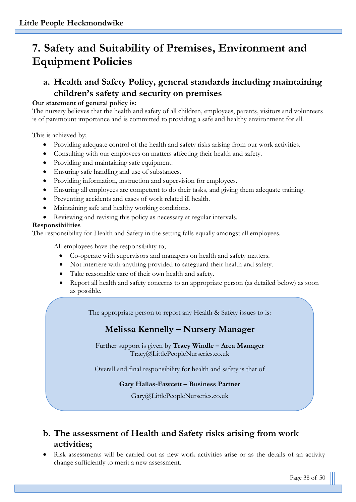# **7. Safety and Suitability of Premises, Environment and Equipment Policies**

# **a. Health and Safety Policy, general standards including maintaining children's safety and security on premises**

# **Our statement of general policy is:**

The nursery believes that the health and safety of all children, employees, parents, visitors and volunteers is of paramount importance and is committed to providing a safe and healthy environment for all.

This is achieved by;

- Providing adequate control of the health and safety risks arising from our work activities.
- Consulting with our employees on matters affecting their health and safety.
- Providing and maintaining safe equipment.
- Ensuring safe handling and use of substances.
- Providing information, instruction and supervision for employees.
- Ensuring all employees are competent to do their tasks, and giving them adequate training.
- Preventing accidents and cases of work related ill health.
- Maintaining safe and healthy working conditions.
- Reviewing and revising this policy as necessary at regular intervals.

# **Responsibilities**

The responsibility for Health and Safety in the setting falls equally amongst all employees.

All employees have the responsibility to;

- Co-operate with supervisors and managers on health and safety matters.
- Not interfere with anything provided to safeguard their health and safety.
- Take reasonable care of their own health and safety.
- Report all health and safety concerns to an appropriate person (as detailed below) as soon as possible.

The appropriate person to report any Health & Safety issues to is:

# **Melissa Kennelly – Nursery Manager**

Further support is given by **Tracy Windle – Area Manager**  Tracy@LittlePeopleNurseries.co.uk

Overall and final responsibility for health and safety is that of

# **Gary Hallas-Fawcett – Business Partner**

Gary@LittlePeopleNurseries.co.uk

# **b. The assessment of Health and Safety risks arising from work activities;**

• Risk assessments will be carried out as new work activities arise or as the details of an activity change sufficiently to merit a new assessment.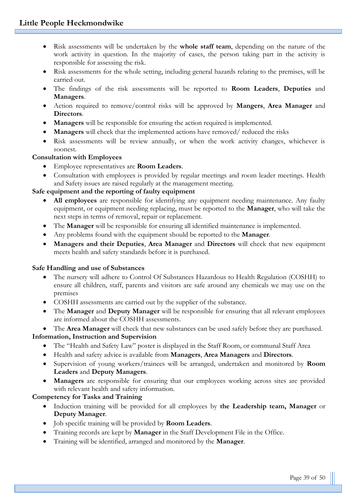- Risk assessments will be undertaken by the **whole staff team**, depending on the nature of the work activity in question. In the majority of cases, the person taking part in the activity is responsible for assessing the risk.
- Risk assessments for the whole setting, including general hazards relating to the premises, will be carried out.
- The findings of the risk assessments will be reported to **Room Leaders**, **Deputies** and **Managers**.
- Action required to remove/control risks will be approved by **Mangers**, **Area Manager** and **Directors**.
- **Managers** will be responsible for ensuring the action required is implemented.
- **Managers** will check that the implemented actions have removed/ reduced the risks
- Risk assessments will be review annually, or when the work activity changes, whichever is soonest.

#### **Consultation with Employees**

- Employee representatives are **Room Leaders**.
- Consultation with employees is provided by regular meetings and room leader meetings. Health and Safety issues are raised regularly at the management meeting.

#### **Safe equipment and the reporting of faulty equipment**

- **All employees** are responsible for identifying any equipment needing maintenance. Any faulty equipment, or equipment needing replacing, must be reported to the **Manager**, who will take the next steps in terms of removal, repair or replacement.
- The **Manager** will be responsible for ensuring all identified maintenance is implemented.
- Any problems found with the equipment should be reported to the **Manager**.
- **Managers and their Deputies**, **Area Manager** and **Directors** will check that new equipment meets health and safety standards before it is purchased.

#### **Safe Handling and use of Substances**

- The nursery will adhere to Control Of Substances Hazardous to Health Regulation (COSHH) to ensure all children, staff, parents and visitors are safe around any chemicals we may use on the premises
- COSHH assessments are carried out by the supplier of the substance.
- The **Manager** and **Deputy Manager** will be responsible for ensuring that all relevant employees are informed about the COSHH assessments.

• The **Area Manager** will check that new substances can be used safely before they are purchased. **Information, Instruction and Supervision**

- The "Health and Safety Law" poster is displayed in the Staff Room, or communal Staff Area
- Health and safety advice is available from **Managers**, **Area Managers** and **Directors**.
- Supervision of young workers/trainees will be arranged, undertaken and monitored by **Room Leaders** and **Deputy Managers**.
- **Managers** are responsible for ensuring that our employees working across sites are provided with relevant health and safety information.

#### **Competency for Tasks and Training**

- Induction training will be provided for all employees by **the Leadership team, Manager** or **Deputy Manager**.
- Job specific training will be provided by **Room Leaders**.
- Training records are kept by **Manager** in the Staff Development File in the Office.
- Training will be identified, arranged and monitored by the **Manager**.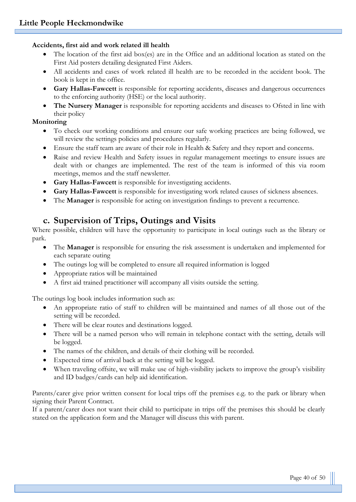#### **Accidents, first aid and work related ill health**

- The location of the first aid box(es) are in the Office and an additional location as stated on the First Aid posters detailing designated First Aiders.
- All accidents and cases of work related ill health are to be recorded in the accident book. The book is kept in the office.
- **Gary Hallas-Fawcett** is responsible for reporting accidents, diseases and dangerous occurrences to the enforcing authority (HSE) or the local authority.
- **The Nursery Manager** is responsible for reporting accidents and diseases to Ofsted in line with their policy

#### **Monitoring**

- To check our working conditions and ensure our safe working practices are being followed, we will review the settings policies and procedures regularly.
- Ensure the staff team are aware of their role in Health & Safety and they report and concerns.
- Raise and review Health and Safety issues in regular management meetings to ensure issues are dealt with or changes are implemented. The rest of the team is informed of this via room meetings, memos and the staff newsletter.
- **Gary Hallas-Fawcett** is responsible for investigating accidents.
- **Gary Hallas-Fawcett** is responsible for investigating work related causes of sickness absences.
- The **Manager** is responsible for acting on investigation findings to prevent a recurrence.

# **c. Supervision of Trips, Outings and Visits**

Where possible, children will have the opportunity to participate in local outings such as the library or park.

- The **Manager** is responsible for ensuring the risk assessment is undertaken and implemented for each separate outing
- The outings log will be completed to ensure all required information is logged
- Appropriate ratios will be maintained
- A first aid trained practitioner will accompany all visits outside the setting.

The outings log book includes information such as:

- An appropriate ratio of staff to children will be maintained and names of all those out of the setting will be recorded.
- There will be clear routes and destinations logged.
- There will be a named person who will remain in telephone contact with the setting, details will be logged.
- The names of the children, and details of their clothing will be recorded.
- Expected time of arrival back at the setting will be logged.
- When traveling offsite, we will make use of high-visibility jackets to improve the group's visibility and ID badges/cards can help aid identification.

Parents/carer give prior written consent for local trips off the premises e.g. to the park or library when signing their Parent Contract.

If a parent/carer does not want their child to participate in trips off the premises this should be clearly stated on the application form and the Manager will discuss this with parent.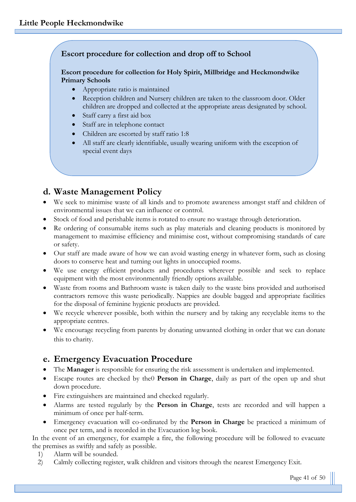## **Escort procedure for collection and drop off to School**

#### **Escort procedure for collection for Holy Spirit, Millbridge and Heckmondwike Primary Schools**

- Appropriate ratio is maintained
- Reception children and Nursery children are taken to the classroom door. Older children are dropped and collected at the appropriate areas designated by school.
- Staff carry a first aid box
- Staff are in telephone contact
- Children are escorted by staff ratio 1:8
- All staff are clearly identifiable, usually wearing uniform with the exception of special event days

# **d. Waste Management Policy**

- We seek to minimise waste of all kinds and to promote awareness amongst staff and children of environmental issues that we can influence or control.
- Stock of food and perishable items is rotated to ensure no wastage through deterioration.
- Re ordering of consumable items such as play materials and cleaning products is monitored by management to maximise efficiency and minimise cost, without compromising standards of care or safety.
- Our staff are made aware of how we can avoid wasting energy in whatever form, such as closing doors to conserve heat and turning out lights in unoccupied rooms.
- We use energy efficient products and procedures wherever possible and seek to replace equipment with the most environmentally friendly options available.
- Waste from rooms and Bathroom waste is taken daily to the waste bins provided and authorised contractors remove this waste periodically. Nappies are double bagged and appropriate facilities for the disposal of feminine hygienic products are provided.
- We recycle wherever possible, both within the nursery and by taking any recyclable items to the appropriate centres.
- We encourage recycling from parents by donating unwanted clothing in order that we can donate this to charity.

# **e. Emergency Evacuation Procedure**

- The **Manager** is responsible for ensuring the risk assessment is undertaken and implemented.
- Escape routes are checked by the0 **Person in Charge**, daily as part of the open up and shut down procedure.
- Fire extinguishers are maintained and checked regularly.
- Alarms are tested regularly by the **Person in Charge**, tests are recorded and will happen a minimum of once per half-term.
- Emergency evacuation will co-ordinated by the **Person in Charge** be practiced a minimum of once per term, and is recorded in the Evacuation log book.

In the event of an emergency, for example a fire, the following procedure will be followed to evacuate the premises as swiftly and safely as possible.

- 1) Alarm will be sounded.
- 2) Calmly collecting register, walk children and visitors through the nearest Emergency Exit.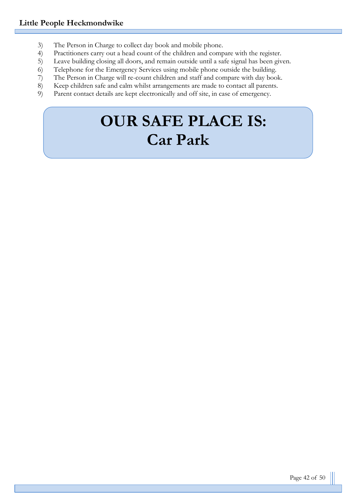- 3) The Person in Charge to collect day book and mobile phone.
- 4) Practitioners carry out a head count of the children and compare with the register.
- 5) Leave building closing all doors, and remain outside until a safe signal has been given.<br>6) Telephone for the Emergency Services using mobile phone outside the building.
- 6) Telephone for the Emergency Services using mobile phone outside the building.<br>
The Person in Charge will re-count children and staff and compare with day boo
- The Person in Charge will re-count children and staff and compare with day book.
- 8) Keep children safe and calm whilst arrangements are made to contact all parents.
- 9) Parent contact details are kept electronically and off site, in case of emergency.

# **OUR SAFE PLACE IS: Car Park**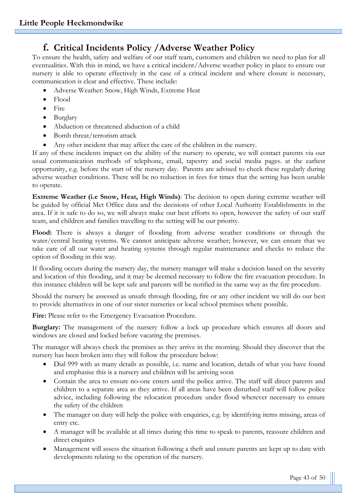# **f. Critical Incidents Policy /Adverse Weather Policy**

To ensure the health, safety and welfare of our staff team, customers and children we need to plan for all eventualities. With this in mind, we have a critical incident/Adverse weather policy in place to ensure our nursery is able to operate effectively in the case of a critical incident and where closure is necessary, communication is clear and effective. These include:

- Adverse Weather: Snow, High Winds, Extreme Heat
- Flood
- Fire
- Burglary
- Abduction or threatened abduction of a child
- Bomb threat/terrorism attack
- Any other incident that may affect the care of the children in the nursery.

If any of these incidents impact on the ability of the nursery to operate, we will contact parents via our usual communication methods of telephone, email, tapestry and social media pages. at the earliest opportunity, e.g. before the start of the nursery day. Parents are advised to check these regularly during adverse weather conditions. There will be no reduction in fees for times that the setting has been unable to operate.

**Extreme Weather (i.e Snow, Heat, High Winds)**: The decision to open during extreme weather will be guided by official Met Office data and the decisions of other Local Authority Establishments in the area. If it is safe to do so, we will always make our best efforts to open, however the safety of our staff team, and children and families travelling to the setting will be our priority.

Flood: There is always a danger of flooding from adverse weather conditions or through the water/central heating systems. We cannot anticipate adverse weather; however, we can ensure that we take care of all our water and heating systems through regular maintenance and checks to reduce the option of flooding in this way.

If flooding occurs during the nursery day, the nursery manager will make a decision based on the severity and location of this flooding, and it may be deemed necessary to follow the fire evacuation procedure. In this instance children will be kept safe and parents will be notified in the same way as the fire procedure.

Should the nursery be assessed as unsafe through flooding, fire or any other incident we will do our best to provide alternatives in one of our sister nurseries or local school premises where possible.

Fire: Please refer to the Emergency Evacuation Procedure.

**Burglary:** The management of the nursery follow a lock up procedure which ensures all doors and windows are closed and locked before vacating the premises.

The manager will always check the premises as they arrive in the morning. Should they discover that the nursery has been broken into they will follow the procedure below:

- Dial 999 with as many details as possible, i.e. name and location, details of what you have found and emphasise this is a nursery and children will be arriving soon
- Contain the area to ensure no-one enters until the police arrive. The staff will direct parents and children to a separate area as they arrive. If all areas have been disturbed staff will follow police advice, including following the relocation procedure under flood wherever necessary to ensure the safety of the children
- The manager on duty will help the police with enquiries, e.g. by identifying items missing, areas of entry etc.
- A manager will be available at all times during this time to speak to parents, reassure children and direct enquires
- Management will assess the situation following a theft and ensure parents are kept up to date with developments relating to the operation of the nursery.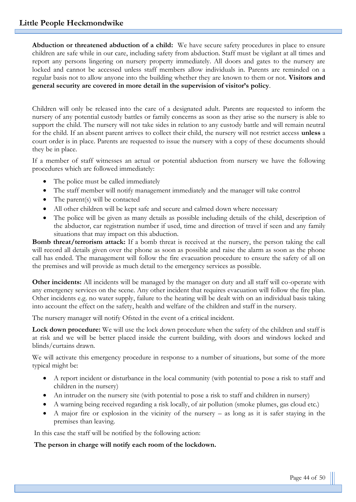**Abduction or threatened abduction of a child:** We have secure safety procedures in place to ensure children are safe while in our care, including safety from abduction. Staff must be vigilant at all times and report any persons lingering on nursery property immediately. All doors and gates to the nursery are locked and cannot be accessed unless staff members allow individuals in. Parents are reminded on a regular basis not to allow anyone into the building whether they are known to them or not. **Visitors and general security are covered in more detail in the supervision of visitor's policy**.

Children will only be released into the care of a designated adult. Parents are requested to inform the nursery of any potential custody battles or family concerns as soon as they arise so the nursery is able to support the child. The nursery will not take sides in relation to any custody battle and will remain neutral for the child. If an absent parent arrives to collect their child, the nursery will not restrict access **unless** a court order is in place. Parents are requested to issue the nursery with a copy of these documents should they be in place.

If a member of staff witnesses an actual or potential abduction from nursery we have the following procedures which are followed immediately:

- The police must be called immediately
- The staff member will notify management immediately and the manager will take control
- The parent(s) will be contacted
- All other children will be kept safe and secure and calmed down where necessary
- The police will be given as many details as possible including details of the child, description of the abductor, car registration number if used, time and direction of travel if seen and any family situations that may impact on this abduction.

**Bomb threat/terrorism attack:** If a bomb threat is received at the nursery, the person taking the call will record all details given over the phone as soon as possible and raise the alarm as soon as the phone call has ended. The management will follow the fire evacuation procedure to ensure the safety of all on the premises and will provide as much detail to the emergency services as possible.

**Other incidents:** All incidents will be managed by the manager on duty and all staff will co-operate with any emergency services on the scene. Any other incident that requires evacuation will follow the fire plan. Other incidents e.g. no water supply, failure to the heating will be dealt with on an individual basis taking into account the effect on the safety, health and welfare of the children and staff in the nursery.

The nursery manager will notify Ofsted in the event of a critical incident.

**Lock down procedure:** We will use the lock down procedure when the safety of the children and staff is at risk and we will be better placed inside the current building, with doors and windows locked and blinds/curtains drawn.

We will activate this emergency procedure in response to a number of situations, but some of the more typical might be:

- A report incident or disturbance in the local community (with potential to pose a risk to staff and children in the nursery)
- An intruder on the nursery site (with potential to pose a risk to staff and children in nursery)
- A warning being received regarding a risk locally, of air pollution (smoke plumes, gas cloud etc.)
- A major fire or explosion in the vicinity of the nursery as long as it is safer staying in the premises than leaving.

In this case the staff will be notified by the following action:

#### **The person in charge will notify each room of the lockdown.**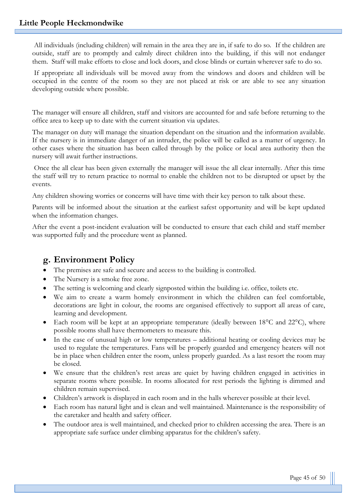All individuals (including children) will remain in the area they are in, if safe to do so. If the children are outside, staff are to promptly and calmly direct children into the building, if this will not endanger them. Staff will make efforts to close and lock doors, and close blinds or curtain wherever safe to do so.

If appropriate all individuals will be moved away from the windows and doors and children will be occupied in the centre of the room so they are not placed at risk or are able to see any situation developing outside where possible.

The manager will ensure all children, staff and visitors are accounted for and safe before returning to the office area to keep up to date with the current situation via updates.

The manager on duty will manage the situation dependant on the situation and the information available. If the nursery is in immediate danger of an intruder, the police will be called as a matter of urgency. In other cases where the situation has been called through by the police or local area authority then the nursery will await further instructions.

Once the all clear has been given externally the manager will issue the all clear internally. After this time the staff will try to return practice to normal to enable the children not to be disrupted or upset by the events.

Any children showing worries or concerns will have time with their key person to talk about these.

Parents will be informed about the situation at the earliest safest opportunity and will be kept updated when the information changes.

After the event a post-incident evaluation will be conducted to ensure that each child and staff member was supported fully and the procedure went as planned.

## **g. Environment Policy**

- The premises are safe and secure and access to the building is controlled.
- The Nursery is a smoke free zone.
- The setting is welcoming and clearly signposted within the building i.e. office, toilets etc.
- We aim to create a warm homely environment in which the children can feel comfortable, decorations are light in colour, the rooms are organised effectively to support all areas of care, learning and development.
- Each room will be kept at an appropriate temperature (ideally between  $18^{\circ}$ C and  $22^{\circ}$ C), where possible rooms shall have thermometers to measure this.
- In the case of unusual high or low temperatures additional heating or cooling devices may be used to regulate the temperatures. Fans will be properly guarded and emergency heaters will not be in place when children enter the room, unless properly guarded. As a last resort the room may be closed.
- We ensure that the children's rest areas are quiet by having children engaged in activities in separate rooms where possible. In rooms allocated for rest periods the lighting is dimmed and children remain supervised.
- Children's artwork is displayed in each room and in the halls wherever possible at their level.
- Each room has natural light and is clean and well maintained. Maintenance is the responsibility of the caretaker and health and safety officer.
- The outdoor area is well maintained, and checked prior to children accessing the area. There is an appropriate safe surface under climbing apparatus for the children's safety.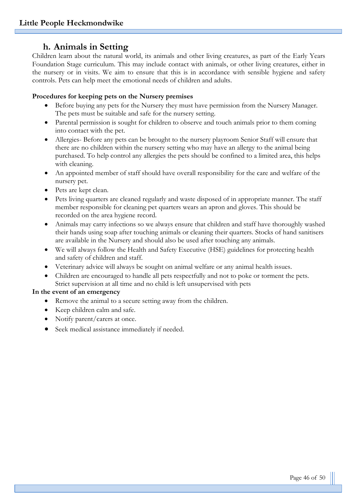## **h. Animals in Setting**

Children learn about the natural world, its animals and other living creatures, as part of the Early Years Foundation Stage curriculum. This may include contact with animals, or other living creatures, either in the nursery or in visits. We aim to ensure that this is in accordance with sensible hygiene and safety controls. Pets can help meet the emotional needs of children and adults.

#### **Procedures for keeping pets on the Nursery premises**

- Before buying any pets for the Nursery they must have permission from the Nursery Manager. The pets must be suitable and safe for the nursery setting.
- Parental permission is sought for children to observe and touch animals prior to them coming into contact with the pet.
- Allergies- Before any pets can be brought to the nursery playroom Senior Staff will ensure that there are no children within the nursery setting who may have an allergy to the animal being purchased. To help control any allergies the pets should be confined to a limited area, this helps with cleaning.
- An appointed member of staff should have overall responsibility for the care and welfare of the nursery pet.
- Pets are kept clean.
- Pets living quarters are cleaned regularly and waste disposed of in appropriate manner. The staff member responsible for cleaning pet quarters wears an apron and gloves. This should be recorded on the area hygiene record.
- Animals may carry infections so we always ensure that children and staff have thoroughly washed their hands using soap after touching animals or cleaning their quarters. Stocks of hand sanitisers are available in the Nursery and should also be used after touching any animals.
- We will always follow the Health and Safety Executive (HSE) guidelines for protecting health and safety of children and staff.
- Veterinary advice will always be sought on animal welfare or any animal health issues.
- Children are encouraged to handle all pets respectfully and not to poke or torment the pets. Strict supervision at all time and no child is left unsupervised with pets

#### **In the event of an emergency**

- Remove the animal to a secure setting away from the children.
- Keep children calm and safe.
- Notify parent/carers at once.
- Seek medical assistance immediately if needed.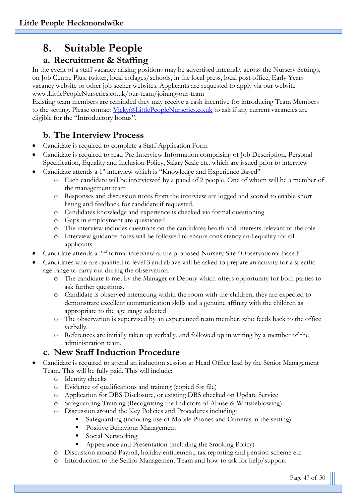# **8. Suitable People**

# **a. Recruitment & Staffing**

In the event of a staff vacancy arising positions may be advertised internally across the Nursery Settings, on Job Centre Plus, twitter, local collages/schools, in the local press, local post office, Early Years vacancy website or other job seeker websites. Applicants are requested to apply via our website www.LittlePeopleNurseries.co.uk/our-team/joining-our-team

Existing team members are reminded they may receive a cash incentive for introducing Team Members to the setting. Please contact [Vicky@LittlePeopleNurseries.co.uk](mailto:Vicky@LittlePeopleNurseries.co.uk) to ask if any current vacancies are eligible for the "Introductory bonus".

# **b. The Interview Process**

- Candidate is required to complete a Staff Application Form
- Candidate is required to read Pre Interview Information comprising of Job Description, Personal Specification, Equality and Inclusion Policy, Salary Scale etc. which are issued prior to interview
- Candidate attends a 1<sup>st</sup> interview which is "Knowledge and Experience Based"
	- o Each candidate will be interviewed by a panel of 2 people, One of whom will be a member of the management team
	- o Responses and discussion notes from the interview are logged and scored to enable short listing and feedback for candidate if requested.
	- o Candidates knowledge and experience is checked via formal questioning
	- o Gaps in employment are questioned
	- o The interview includes questions on the candidates health and interests relevant to the role
	- o Interview guidance notes will be followed to ensure consistency and equality for all applicants.
- Candidate attends a 2nd formal interview at the proposed Nursery Site "Observational Based"
- Candidates who are qualified to level 3 and above will be asked to prepare an activity for a specific age range to carry out during the observation.
	- o The candidate is met by the Manager or Deputy which offers opportunity for both parties to ask further questions.
	- o Candidate is observed interacting within the room with the children, they are expected to demonstrate excellent communication skills and a genuine affinity with the children as appropriate to the age range selected
	- o The observation is supervised by an experienced team member, who feeds back to the office verbally.
	- o References are initially taken up verbally, and followed up in writing by a member of the administration team.

# **c. New Staff Induction Procedure**

- Candidate is required to attend an induction session at Head Office lead by the Senior Management Team. This will be fully paid. This will include:
	- o Identity checks
	- o Evidence of qualifications and training (copied for file)
	- o Application for DBS Disclosure, or existing DBS checked on Update Service
	- o Safeguarding Training (Recognising the Indictors of Abuse & Whistleblowing)
	- o Discussion around the Key Policies and Procedures including:
		- Safeguarding (including use of Mobile Phones and Cameras in the setting)
		- **Positive Behaviour Management**
		- Social Networking
		- Appearance and Presentation (including the Smoking Policy)
	- o Discussion around Payroll, holiday entitlement, tax reporting and pension scheme etc
	- o Introduction to the Senior Management Team and how to ask for help/support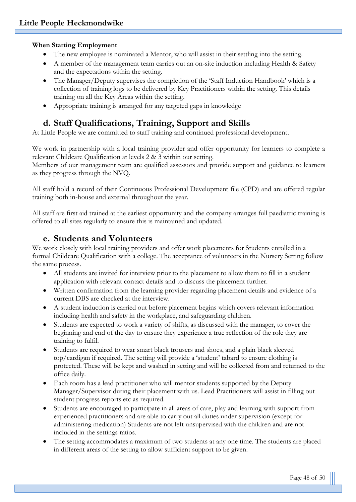#### **When Starting Employment**

- The new employee is nominated a Mentor, who will assist in their settling into the setting.
- A member of the management team carries out an on-site induction including Health & Safety and the expectations within the setting.
- The Manager/Deputy supervises the completion of the 'Staff Induction Handbook' which is a collection of training logs to be delivered by Key Practitioners within the setting. This details training on all the Key Areas within the setting.
- Appropriate training is arranged for any targeted gaps in knowledge

# **d. Staff Qualifications, Training, Support and Skills**

At Little People we are committed to staff training and continued professional development.

We work in partnership with a local training provider and offer opportunity for learners to complete a relevant Childcare Qualification at levels 2 & 3 within our setting.

Members of our management team are qualified assessors and provide support and guidance to learners as they progress through the NVQ.

All staff hold a record of their Continuous Professional Development file (CPD) and are offered regular training both in-house and external throughout the year.

All staff are first aid trained at the earliest opportunity and the company arranges full paediatric training is offered to all sites regularly to ensure this is maintained and updated.

# **e. Students and Volunteers**

We work closely with local training providers and offer work placements for Students enrolled in a formal Childcare Qualification with a college. The acceptance of volunteers in the Nursery Setting follow the same process.

- All students are invited for interview prior to the placement to allow them to fill in a student application with relevant contact details and to discuss the placement further.
- Written confirmation from the learning provider regarding placement details and evidence of a current DBS are checked at the interview.
- A student induction is carried out before placement begins which covers relevant information including health and safety in the workplace, and safeguarding children.
- Students are expected to work a variety of shifts, as discussed with the manager, to cover the beginning and end of the day to ensure they experience a true reflection of the role they are training to fulfil.
- Students are required to wear smart black trousers and shoes, and a plain black sleeved top/cardigan if required. The setting will provide a 'student' tabard to ensure clothing is protected. These will be kept and washed in setting and will be collected from and returned to the office daily.
- Each room has a lead practitioner who will mentor students supported by the Deputy Manager/Supervisor during their placement with us. Lead Practitioners will assist in filling out student progress reports etc as required.
- Students are encouraged to participate in all areas of care, play and learning with support from experienced practitioners and are able to carry out all duties under supervision (except for administering medication) Students are not left unsupervised with the children and are not included in the settings ratios.
- The setting accommodates a maximum of two students at any one time. The students are placed in different areas of the setting to allow sufficient support to be given.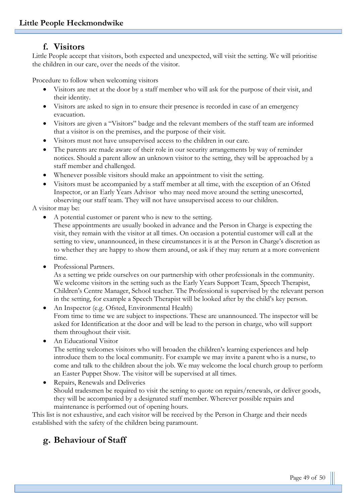## **f. Visitors**

Little People accept that visitors, both expected and unexpected, will visit the setting. We will prioritise the children in our care, over the needs of the visitor.

Procedure to follow when welcoming visitors

- Visitors are met at the door by a staff member who will ask for the purpose of their visit, and their identity.
- Visitors are asked to sign in to ensure their presence is recorded in case of an emergency evacuation.
- Visitors are given a "Visitors" badge and the relevant members of the staff team are informed that a visitor is on the premises, and the purpose of their visit.
- Visitors must not have unsupervised access to the children in our care.
- The parents are made aware of their role in our security arrangements by way of reminder notices. Should a parent allow an unknown visitor to the setting, they will be approached by a staff member and challenged.
- Whenever possible visitors should make an appointment to visit the setting.
- Visitors must be accompanied by a staff member at all time, with the exception of an Ofsted Inspector, or an Early Years Advisor who may need move around the setting unescorted, observing our staff team. They will not have unsupervised access to our children.

A visitor may be:

• A potential customer or parent who is new to the setting.

These appointments are usually booked in advance and the Person in Charge is expecting the visit, they remain with the visitor at all times. On occasion a potential customer will call at the setting to view, unannounced, in these circumstances it is at the Person in Charge's discretion as to whether they are happy to show them around, or ask if they may return at a more convenient time.

Professional Partners.

As a setting we pride ourselves on our partnership with other professionals in the community. We welcome visitors in the setting such as the Early Years Support Team, Speech Therapist, Children's Centre Manager, School teacher. The Professional is supervised by the relevant person in the setting, for example a Speech Therapist will be looked after by the child's key person.

• An Inspector (e.g. Ofsted, Environmental Health) From time to time we are subject to inspections. These are unannounced. The inspector will be asked for Identification at the door and will be lead to the person in charge, who will support them throughout their visit.

• An Educational Visitor

The setting welcomes visitors who will broaden the children's learning experiences and help introduce them to the local community. For example we may invite a parent who is a nurse, to come and talk to the children about the job. We may welcome the local church group to perform an Easter Puppet Show. The visitor will be supervised at all times.

• Repairs, Renewals and Deliveries Should tradesmen be required to visit the setting to quote on repairs/renewals, or deliver goods, they will be accompanied by a designated staff member. Wherever possible repairs and maintenance is performed out of opening hours.

This list is not exhaustive, and each visitor will be received by the Person in Charge and their needs established with the safety of the children being paramount.

# **g. Behaviour of Staff**